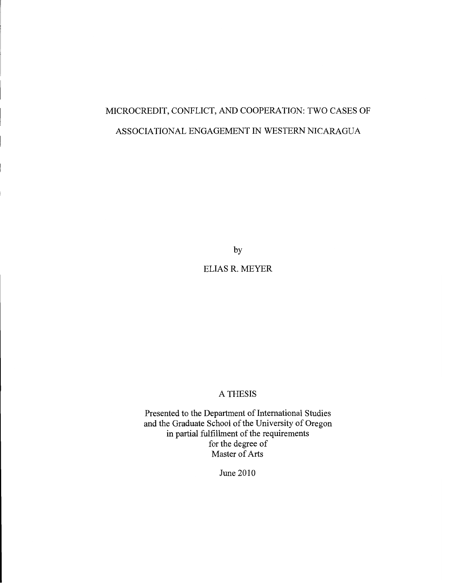# MICROCREDIT, CONFLICT, AND COOPERATION: TWO CASES OF ASSOCIATIONAL ENGAGEMENT IN WESTERN NICARAGUA

by

ELIAS R. MEYER

# A THESIS

Presented to the Department of International Studies and the Graduate School of the University of Oregon in partial fulfillment of the requirements for the degree of Master of Arts

June 2010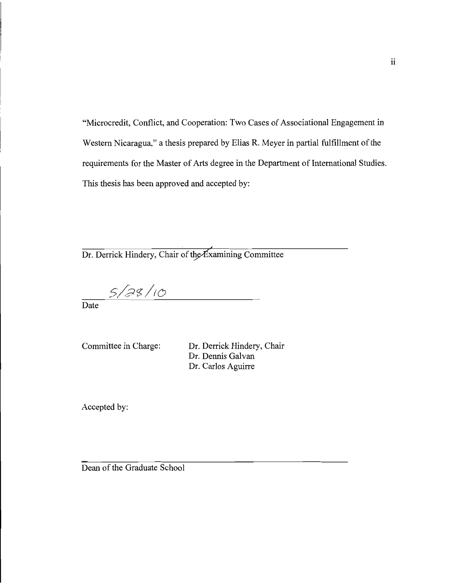"Microcredit, Conflict, and Cooperation: Two Cases of Associational Engagement in Western Nicaragua," a thesis prepared by Elias R. Meyer in partial fulfillment of the requirements for the Master of Arts degree in the Department of International Studies. This thesis has been approved and accepted by:

Dr. Derrick Hindery, Chair of the Examining Committee

 $5/28/10$ 

Date

Committee in Charge:

Dr. Derrick Hindery, Chair Dr. Dennis Galvan Dr. Carlos Aguirre

Accepted by:

Dean of the Graduate School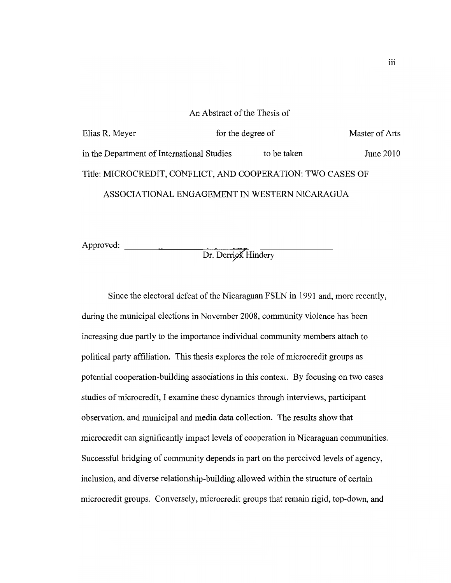## An Abstract of the Thesis of

| Elias R. Meyer                                              | for the degree of |             | Master of Arts |
|-------------------------------------------------------------|-------------------|-------------|----------------|
| in the Department of International Studies                  |                   | to be taken | June 2010      |
| Title: MICROCREDIT, CONFLICT, AND COOPERATION: TWO CASES OF |                   |             |                |
| ASSOCIATIONAL ENGAGEMENT IN WESTERN NICARAGUA               |                   |             |                |

Approved: *\_*

Dr. Derrick Hindery

Since the electoral defeat of the Nicaraguan FSLN in 1991 and, more recently, during the municipal elections in November 2008, community violence has been increasing due partly to the importance individual community members attach to political party affiliation. This thesis explores the role of microcredit groups as potential cooperation-building associations in this context. By focusing on two cases studies of microcredit, I examine these dynamics through interviews, participant observation, and municipal and media data collection. The results show that microcredit can significantly impact levels of cooperation in Nicaraguan communities. Successful bridging of community depends in part on the perceived levels of agency, inclusion, and diverse relationship-building allowed within the structure of certain microcredit groups. Conversely, microcredit groups that remain rigid, top-down, and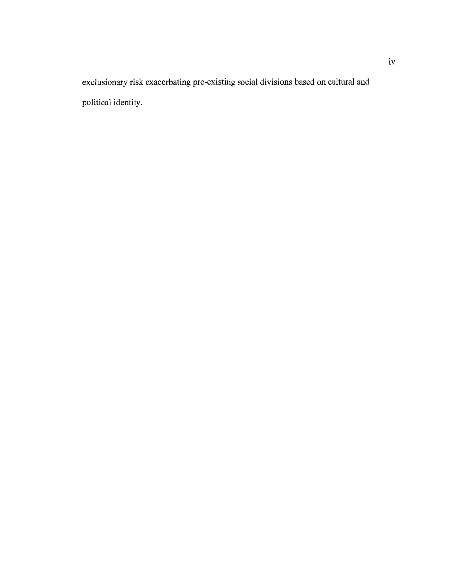exclusionary risk exacerbating pre-existing social divisions based on cultural and political identity.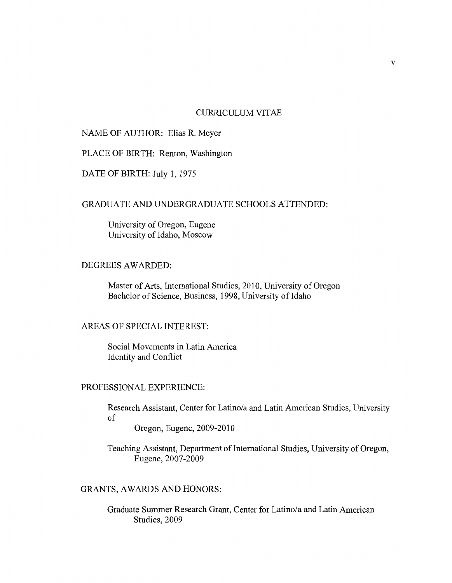### CURRICULUM VITAE

### NAME OF AUTHOR: Elias R. Meyer

#### PLACE OF BIRTH: Renton, Washington

DATE OF BIRTH: July 1, 1975

## GRADUATE AND UNDERGRADUATE SCHOOLS ATTENDED:

University of Oregon, Eugene University of Idaho, Moscow

### DEGREES AWARDED:

Master of Arts, International Studies, 2010, University of Oregon Bachelor of Science, Business, 1998, University of Idaho

## AREAS OF SPECIAL INTEREST:

Social Movements in Latin America Identity and Conflict

#### PROFESSIONAL EXPERIENCE:

Research Assistant, Center for Latino/a and Latin American Studies, University of

Oregon, Eugene, 2009-2010

Teaching Assistant, Department of International Studies, University of Oregon, Eugene,2007-2009

## GRANTS, AWARDS AND HONORS:

Graduate Summer Research Grant, Center for Latino/a and Latin American Studies, 2009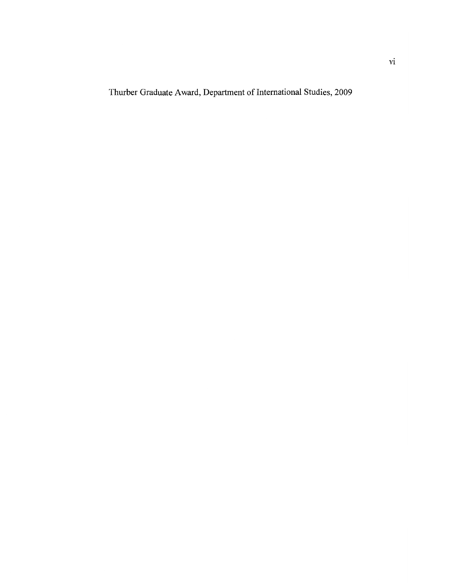Thurber Graduate Award, Department of International Studies, 2009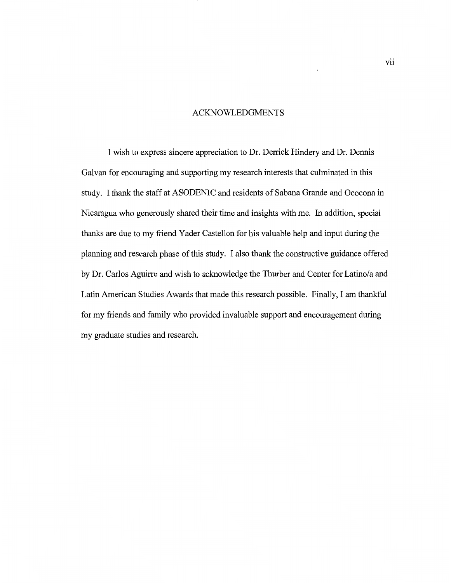## ACKNOWLEDGMENTS

I wish to express sincere appreciation to Dr. Derrick Hindery and Dr. Dennis Galvan for encouraging and supporting my research interests that culminated in this study. I thank the staff at ASODENIC and residents of Sabana Grande and Ococona in Nicaragua who generously shared their time and insights with me. In addition, special thanks are due to my friend Yader Castellon for his valuable help and input during the planning and research phase of this study. I also thank the constructive guidance offered by Dr. Carlos Aguirre and wish to acknowledge the Thurber and Center for Latino/a and Latin American Studies Awards that made this research possible. Finally, I am thankful for my friends and family who provided invaluable support and encouragement during my graduate studies and research.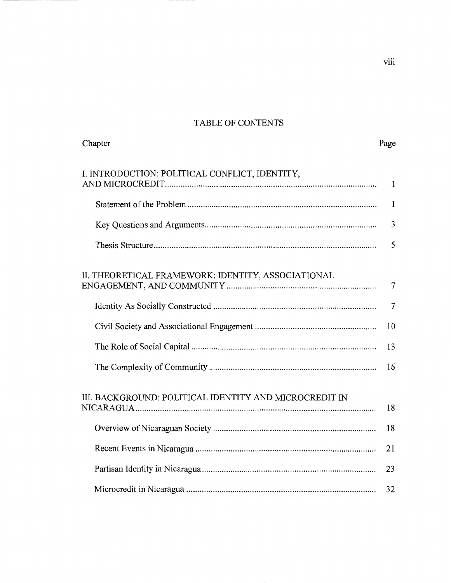# TABLE OF CONTENTS

 $\overline{\phantom{a}}$ 

Chapter Page

| I. INTRODUCTION: POLITICAL CONFLICT, IDENTITY,         | $\mathbf{1}$   |
|--------------------------------------------------------|----------------|
|                                                        | $\mathbf{1}$   |
|                                                        | 3              |
|                                                        | 5              |
| II. THEORETICAL FRAMEWORK: IDENTITY, ASSOCIATIONAL     | $\overline{7}$ |
|                                                        | $\overline{7}$ |
|                                                        | 10             |
|                                                        | 13             |
|                                                        | 16             |
| III. BACKGROUND: POLITICAL IDENTITY AND MICROCREDIT IN | 18             |
|                                                        | 18             |
|                                                        | 21             |
|                                                        | 23             |
|                                                        | 32             |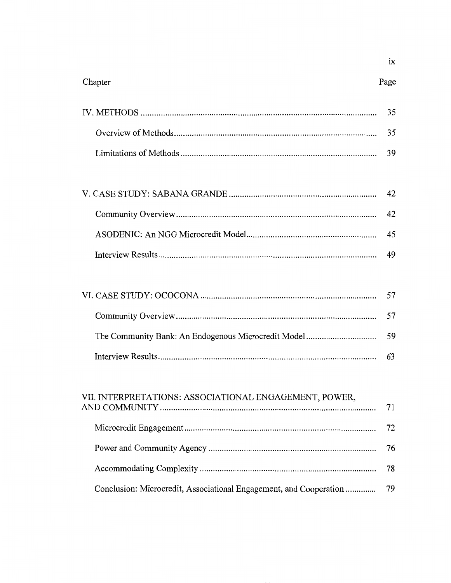| Chapter | Page |
|---------|------|
|         | 35   |
|         | 35   |
|         | 39   |

| 49 |
|----|

| VII. INTERPRETATIONS: ASSOCIATIONAL ENGAGEMENT, POWER, |    |
|--------------------------------------------------------|----|
|                                                        |    |
|                                                        | 76 |
|                                                        |    |
|                                                        |    |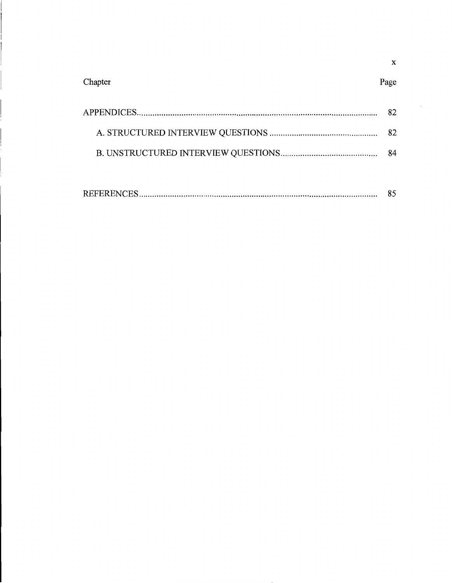| Chapter |    |
|---------|----|
|         |    |
|         | 82 |
|         |    |
|         |    |

x

 $\bar{\mathcal{A}}$ 

|  | 85 |
|--|----|
|--|----|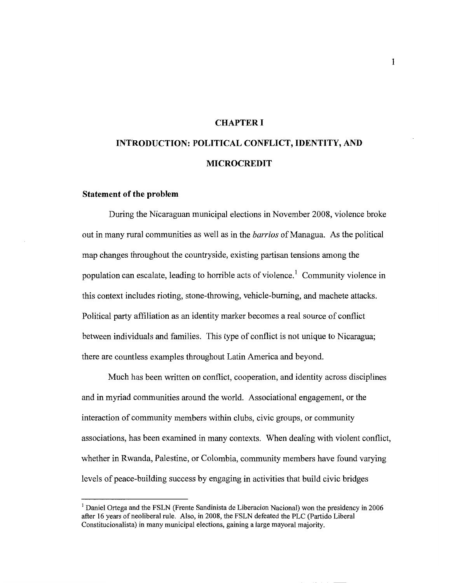#### CHAPTER I

# **INTRODUCTION: POLITICAL CONFLICT, IDENTITY, AND MICROCREDIT**

### **Statement of the problem**

During the Nicaraguan municipal elections in November 2008, violence broke out in many rural communities as well as in the *barrios* of Managua. As the political map changes throughout the countryside, existing partisan tensions among the population can escalate, leading to horrible acts of violence.<sup>1</sup> Community violence in this context includes rioting, stone-throwing, vehicle-burning, and machete attacks. Political party affiliation as an identity marker becomes a real source of conflict between individuals and families. This type of conflict is not unique to Nicaragua; there are countless examples throughout Latin America and beyond.

Much has been written on conflict, cooperation, and identity across disciplines and in myriad communities around the world. Associational engagement, or the interaction of community members within clubs, civic groups, or community associations, has been examined in many contexts. When dealing with violent conflict, whether in Rwanda, Palestine, or Colombia, community members have found varying levels of peace-building success by engaging in activities that build civic bridges

<sup>1</sup> Daniel Ortega and the FSLN (Frente Sandinista de Liberacion Nacional) won the presidency in 2006 after 16 years of neoliberal rule. Also, in 2008, the FSLN defeated the PLC (Partido Liberal Constitucionalista) in many municipal elections, gaining a large mayoral majority.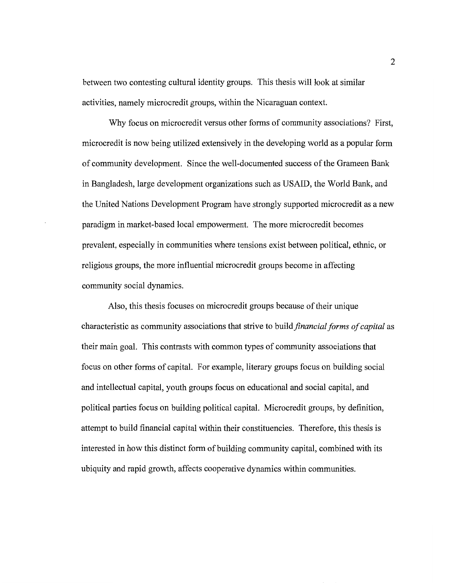between two contesting cultural identity groups. This thesis will look at similar activities, namely microcredit groups, within the Nicaraguan context.

Why focus on microcredit versus other forms of community associations? First, microcredit is now being utilized extensively in the developing world as a popular form of community development. Since the well-documented success ofthe Grameen Bank in Bangladesh, large development organizations such as USAID, the World Bank, and the United Nations Development Program have strongly supported microcredit as a new paradigm in market-based local empowerment. The more microcredit becomes prevalent, especially in communities where tensions exist between political, ethnic, or religious groups, the more influential microcredit groups become in affecting community social dynamics.

Also, this thesis focuses on microcredit groups because of their unique characteristic as community associations that strive to build *financial forms ofcapital* as their main goal. This contrasts with common types of community associations that focus on other forms of capital. For example, literary groups focus on building social and intellectual capital, youth groups focus on educational and social capital, and political parties focus on building political capital. Microcredit groups, by definition, attempt to build financial capital within their constituencies. Therefore, this thesis is interested in how this distinct form of building community capital, combined with its ubiquity and rapid growth, affects cooperative dynamics within communities.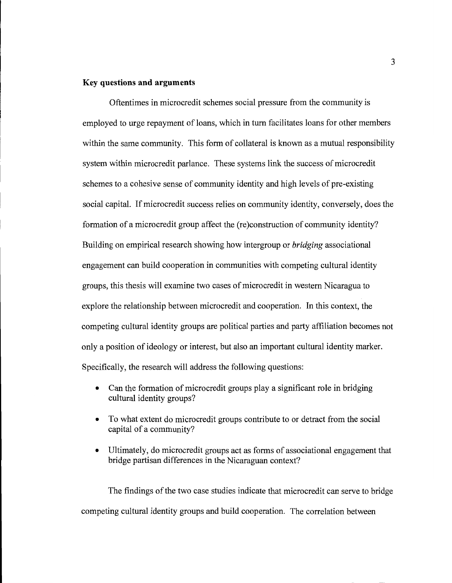## **Key questions and arguments**

Oftentimes in microcredit schemes social pressure from the community is employed to urge repayment of loans, which in turn facilitates loans for other members within the same community. This form of collateral is known as a mutual responsibility system within microcredit parlance. These systems link the success of microcredit schemes to a cohesive sense of community identity and high levels of pre-existing social capital. If microcredit success relies on community identity, conversely, does the formation of a microcredit group affect the (re)construction of community identity? Building on empirical research showing how intergroup or *bridging* associational engagement can build cooperation in communities with competing cultural identity groups, this thesis will examine two cases of microcredit in western Nicaragua to explore the relationship between microcredit and cooperation. **In** this context, the competing cultural identity groups are political parties and party affiliation becomes not only a position of ideology or interest, but also an important cultural identity marker. Specifically, the research will address the following questions:

- Can the formation of microcredit groups play a significant role in bridging cultural identity groups?
- To what extent do microcredit groups contribute to or detract from the social capital of a community?
- Ultimately, do microcredit groups act as forms of associational engagement that bridge partisan differences in the Nicaraguan context?

The findings of the two case studies indicate that microcredit can serve to bridge competing cultural identity groups and build cooperation. The correlation between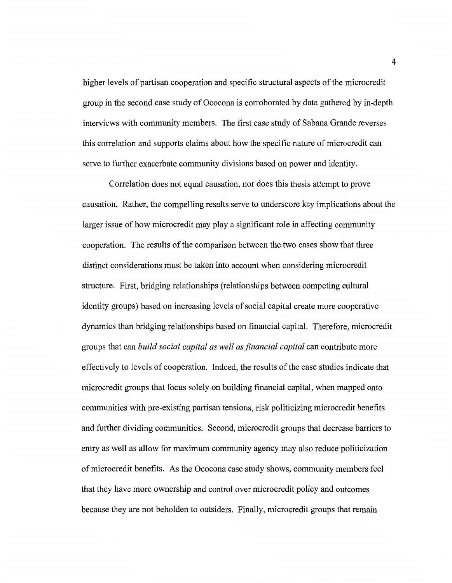higher levels of partisan cooperation and specific structural aspects of the microcredit group in the second case study of Ococona is corroborated by data gathered by in-depth interviews with community members. The first case study of Sabana Grande reverses this correlation and supports claims about how the specific nature of microcredit can serve to further exacerbate community divisions based on power and identity.

Correlation does not equal causation, nor does this thesis attempt to prove causation. Rather, the compelling results serve to underscore key implications about the larger issue of how microcredit may playa significant role in affecting community cooperation. The results of the comparison between the two cases show that three distinct considerations must be taken into account when considering microcredit structure. First, bridging relationships (relationships between competing cultural identity groups) based on increasing levels of social capital create more cooperative dynamics than bridging relationships based on financial capital. Therefore, microcredit groups that can *build social capital as well asfinancial capital* can contribute more effectively to levels of cooperation. Indeed, the results of the case studies indicate that microcredit groups that focus solely on building financial capital, when mapped onto communities with pre-existing partisan tensions, risk politicizing microcredit benefits and further dividing communities. Second, microcredit groups that decrease barriers to entry as well as allow for maximum community agency may also reduce politicization ofmicrocredit benefits. As the Ococona case study shows, community members feel that they have more ownership and control over microcredit policy and outcomes because they are not beholden to outsiders. Finally, microcredit groups that remain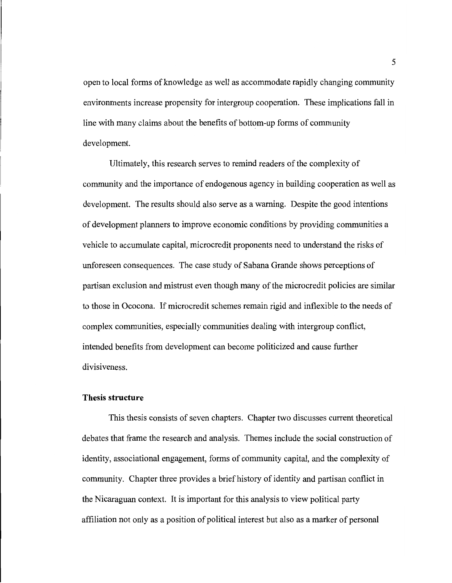open to local forms of knowledge as well as accommodate rapidly changing community environments increase propensity for intergroup cooperation. These implications fall in line with many claims about the benefits of bottom-up forms of community development.

Ultimately, this research serves to remind readers of the complexity of community and the importance of endogenous agency in building cooperation as well as development. The results should also serve as a warning. Despite the good intentions of development planners to improve economic conditions by providing communities a vehicle to accumulate capital, microcredit proponents need to understand the risks of unforeseen consequences. The case study of Sabana Grande shows perceptions of partisan exclusion and mistrust even though many of the microcredit policies are similar to those in Ococona. If microcredit schemes remain rigid and inflexible to the needs of complex communities, especially communities dealing with intergroup conflict, intended benefits from development can become politicized and cause further divisiveness.

#### **Thesis structure**

This thesis consists of seven chapters. Chapter two discusses current theoretical debates that frame the research and analysis. Themes include the social construction of identity, associational engagement, forms of community capital, and the complexity of community. Chapter three provides a brief history of identity and partisan conflict in the Nicaraguan context. It is important for this analysis to view political party affiliation not only as a position of political interest but also as a marker of personal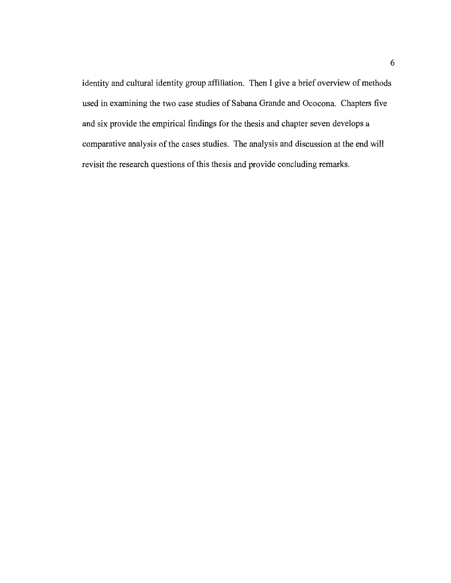identity and cultural identity group affiliation. Then I give a brief overview of methods used in examining the two case studies of Sabana Grande and Ococona. Chapters five and six provide the empirical findings for the thesis and chapter seven develops a comparative analysis of the cases studies. The analysis and discussion at the end will revisit the research questions of this thesis and provide concluding remarks.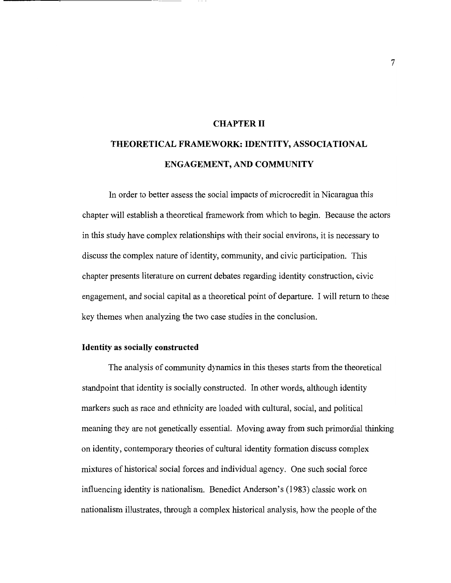### CHAPTER II

# **THEORETICAL FRAMEWORK: IDENTITY, ASSOCIATIONAL ENGAGEMENT, AND COMMUNITY**

In order to better assess the social impacts of microcredit in Nicaragua this chapter will establish a theoretical framework from which to begin. Because the actors in this study have complex relationships with their social environs, it is necessary to discuss the complex nature of identity, community, and civic participation. This chapter presents literature on current debates regarding identity construction, civic engagement, and social capital as a theoretical point of departure. I will return to these key themes when analyzing the two case studies in the conclusion.

#### **Identity as socially constructed**

The analysis of community dynamics in this theses starts from the theoretical standpoint that identity is socially constructed. In other words, although identity markers such as race and ethnicity are loaded with cultural, social, and political meaning they are not genetically essential. Moving away from such primordial thinking on identity, contemporary theories of cultural identity formation discuss complex mixtures of historical social forces and individual agency. One such social force influencing identity is nationalism. Benedict Anderson's (1983) classic work on nationalism illustrates, through a complex historical analysis, how the people of the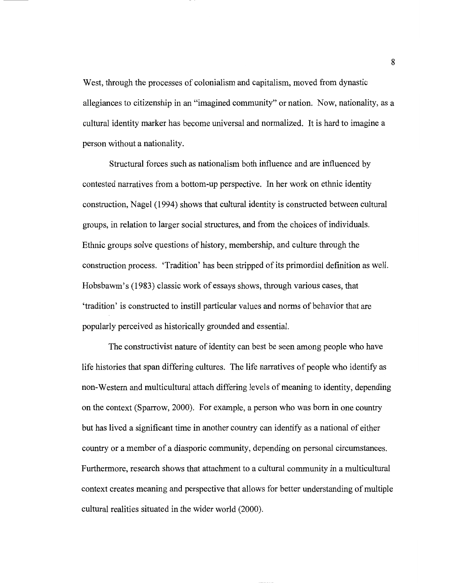West, through the processes of colonialism and capitalism, moved from dynastic allegiances to citizenship in an "imagined community" or nation. Now, nationality, as a cultural identity marker has become universal and normalized. It is hard to imagine a person without a nationality.

Structural forces such as nationalism both influence and are influenced by contested narratives from a bottom-up perspective. **In** her work on ethnic identity construction, Nagel (1994) shows that cultural identity is constructed between cultural groups, in relation to larger social structures, and from the choices of individuals. Ethnic groups solve questions of history, membership, and culture through the construction process. 'Tradition' has been stripped of its primordial definition as well. Hobsbawm's (1983) classic work of essays shows, through various cases, that 'tradition' is constructed to instill particular values and norms of behavior that are popularly perceived as historically grounded and essential.

The constructivist nature of identity can best be seen among people who have life histories that span differing cultures. The life narratives of people who identify as non-Western and multicultural attach differing levels of meaning to identity, depending on the context (Sparrow, 2000). For example, a person who was born in one country but has lived a significant time in another country can identify as a national of either country or a member of a diasporic community, depending on personal circumstances. Furthermore, research shows that attachment to a cultural community in a multicultural context creates meaning and perspective that allows for better understanding of multiple cultural realities situated in the wider world (2000).

8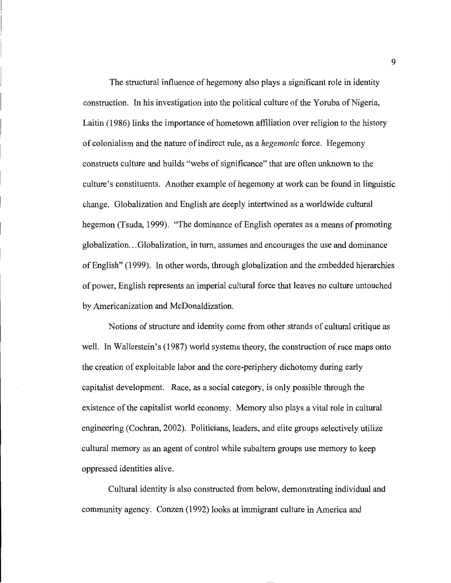The structural influence of hegemony also plays a significant role in identity construction. In his investigation into the political culture of the Yoruba of Nigeria, Laitin (1986) links the importance of hometown affiliation over religion to the history of colonialism and the nature ofindirect rule, as a *hegemonic* force. Hegemony constructs culture and builds "webs of significance" that are often unknown to the culture's constituents. Another example of hegemony at work can be found in linguistic change. Globalization and English are deeply intertwined as a worldwide cultural hegemon (Tsuda, 1999). "The dominance of English operates as a means of promoting globalization...Globalization, in turn, assumes and encourages the use and dominance ofEnglish" (1999). **In** other words, through globalization and the embedded hierarchies of power, English represents an imperial cultural force that leaves no culture untouched by Americanization and McDonaldization.

Notions of structure and identity come from other strands of cultural critique as well. **In** Wallerstein's (1987) world systems theory, the construction ofrace maps onto the creation of exploitable labor and the core-periphery dichotomy during early capitalist development. Race, as a social category, is only possible through the existence of the capitalist world economy. Memory also plays a vital role in cultural engineering (Cochran, 2002). Politicians, leaders, and elite groups selectively utilize cultural memory as an agent of control while subaltern groups use memory to keep oppressed identities alive.

Cultural identity is also constructed from below, demonstrating individual and community agency. Conzen (1992) looks at immigrant culture in America and

9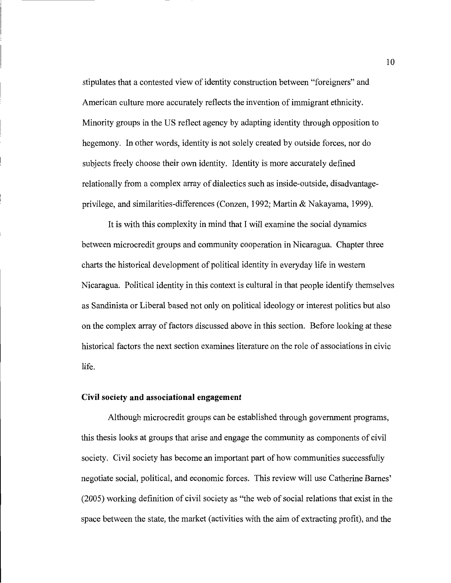stipulates that a contested view of identity construction between "foreigners" and American culture more accurately reflects the invention ofimmigrant ethnicity. Minority groups in the US reflect agency by adapting identity through opposition to hegemony. In other words, identity is not solely created by outside forces, nor do subjects freely choose their own identity. Identity is more accurately defined relationally from a complex array of dialectics such as inside-outside, disadvantageprivilege, and similarities-differences (Conzen, 1992; Martin & Nakayama, 1999).

It is with this complexity in mind that I will examine the social dynamics between microcredit groups and community cooperation in Nicaragua. Chapter three charts the historical development of political identity in everyday life in western Nicaragua. Political identity in this context is cultural in that people identify themselves as Sandinista or Liberal based not only on political ideology or interest politics but also on the complex array of factors discussed above in this section. Before looking at these historical factors the next section examines literature on the role of associations in civic life.

#### **Civil society and associational engagement**

Although microcredit groups can be established through government programs, this thesis looks at groups that arise and engage the community as components of civil society. Civil society has become an important part of how communities successfully negotiate social, political, and economic forces. This review will use Catherine Barnes'  $(2005)$  working definition of civil society as "the web of social relations that exist in the space between the state, the market (activities with the aim of extracting profit), and the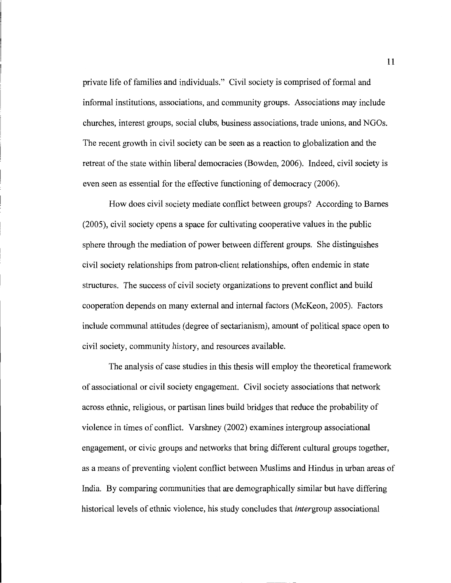private life of families and individuals." Civil society is comprised of formal and informal institutions, associations, and community groups. Associations may include churches, interest groups, social clubs, business associations, trade unions, and NGOs. The recent growth in civil society can be seen as a reaction to globalization and the retreat of the state within liberal democracies (Bowden, 2006). Indeed, civil society is even seen as essential for the effective functioning of democracy (2006).

How does civil society mediate conflict between groups? According to Barnes (2005), civil society opens a space for cultivating cooperative values in the public sphere through the mediation of power between different groups. She distinguishes civil society relationships from patron-client relationships, often endemic in state structures. The success of civil society organizations to prevent conflict and build cooperation depends on many external and internal factors (McKeon, 2005). Factors include communal attitudes (degree of sectarianism), amount of political space open to civil society, community history, and resources available.

The analysis of case studies in this thesis will employ the theoretical framework of associational or civil society engagement. Civil society associations that network across ethnic, religious, or partisan lines build bridges that reduce the probability of violence in times of conflict. Varshney (2002) examines intergroup associational engagement, or civic groups and networks that bring different cultural groups together, as a means of preventing violent conflict between Muslims and Hindus in urban areas of India. By comparing communities that are demographically similar but have differing historical levels of ethnic violence, his study concludes that *intergroup* associational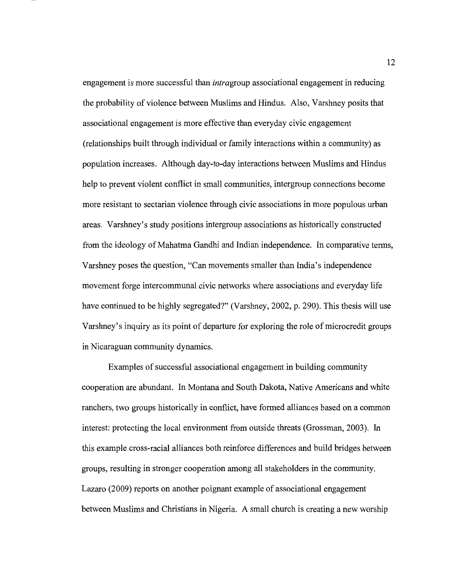engagement is more successful than intragroup associational engagement in reducing the probability of violence between Muslims and Hindus. Also, Varshney posits that associational engagement is more effective than everyday civic engagement (relationships built through individual or family interactions within a community) as population increases. Although day-to-day interactions between Muslims and Hindus help to prevent violent conflict in small communities, intergroup connections become more resistant to sectarian violence through civic associations in more populous urban areas. Varshney's study positions intergroup associations as historically constructed from the ideology of Mahatma Gandhi and Indian independence. In comparative terms, Varshney poses the question, "Can movements smaller than India's independence movement forge intercommunal civic networks where associations and everyday life have continued to be highly segregated?" (Varshney, 2002, p. 290). This thesis will use Varshney's inquiry as its point of departure for exploring the role of microcredit groups in Nicaraguan community dynamics.

Examples of successful associational engagement in building community cooperation are abundant. In Montana and South Dakota, Native Americans and white ranchers, two groups historically in conflict, have formed alliances based on a common interest: protecting the local environment from outside threats (Grossman, 2003). In this example cross-racial alliances both reinforce differences and build bridges between groups, resulting in stronger cooperation among all stakeholders in the community. Lazaro (2009) reports on another poignant example of associational engagement between Muslims and Christians in Nigeria. A small church is creating a new worship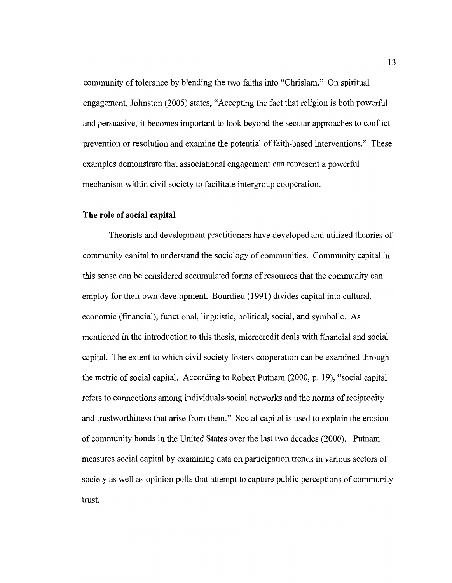community of tolerance by blending the two faiths into "Chrislam." On spiritual engagement, Johnston (2005) states, "Accepting the fact that religion is both powerful and persuasive, it becomes important to look beyond the secular approaches to conflict prevention or resolution and examine the potential of faith-based interventions." These examples demonstrate that associational engagement can represent a powerful mechanism within civil society to facilitate intergroup cooperation.

#### **The role of social capital**

Theorists and development practitioners have developed and utilized theories of community capital to understand the sociology of communities. Community capital in this sense can be considered accumulated forms ofresources that the community can employ for their own development. Bourdieu (1991) divides capital into cultural, economic (financial), functional, linguistic, political, social, and symbolic. As mentioned in the introduction to this thesis, microcredit deals with financial and social capital. The extent to which civil society fosters cooperation can be examined through the metric ofsocial capital. According to Robert Putnam (2000, p. 19), "social capital refers to connections among individuals-social networks and the norms ofreciprocity and trustworthiness that arise from them." Social capital is used to explain the erosion of community bonds in the United States over the last two decades (2000). Putnam measures social capital by examining data on participation trends in various sectors of society as well as opinion polls that attempt to capture public perceptions of community trust.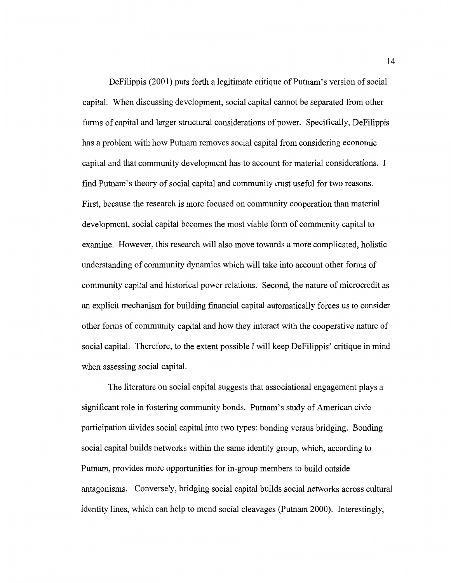DeFilippis  $(2001)$  puts forth a legitimate critique of Putnam's version of social capital. When discussing development, social capital cannot be separated from other forms of capital and larger structural considerations of power. Specifically, DeFilippis has a problem with how Putnam removes social capital from considering economic capital and that community development has to account for material considerations. I find Putnam's theory of social capital and community trust useful for two reasons. First, because the research is more focused on community cooperation than material development, social capital becomes the most viable form of community capital to examine. However, this research will also move towards a more complicated, holistic understanding of community dynamics which will take into account other forms of community capital and historical power relations. Second, the nature of microcredit as an explicit mechanism for building financial capital automatically forces us to consider other forms of community capital and how they interact with the cooperative nature of social capital. Therefore, to the extent possible I will keep DeFilippis' critique in mind when assessing social capital.

The literature on social capital suggests that associational engagement plays a significant role in fostering community bonds. Putnam's study of American civic participation divides social capital into two types: bonding versus bridging. Bonding social capital builds networks within the same identity group, which, according to Putnam, provides more opportunities for in-group members to build outside antagonisms. Conversely, bridging social capital builds social networks across cultural identity lines, which can help to mend social cleavages (Putnam 2000). Interestingly,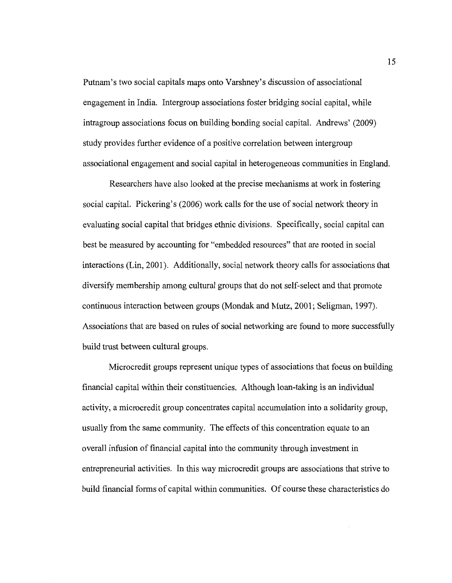Putnam's two social capitals maps onto Varshney's discussion of associational engagement in India. Intergroup associations foster bridging social capital, while intragroup associations focus on building bonding social capital. Andrews' (2009) study provides further evidence of a positive correlation between intergroup associational engagement and social capital in heterogeneous communities in England.

Researchers have also looked at the precise mechanisms at work in fostering social capital. Pickering's (2006) work calls for the use of social network theory in evaluating social capital that bridges ethnic divisions. Specifically, social capital can best be measured by accounting for "embedded resources" that are rooted in social interactions (Lin, 2001). Additionally, social network theory calls for associations that diversify membership among cultural groups that do not self-select and that promote continuous interaction between groups (Mondak and Mutz, 2001; Seligman, 1997). Associations that are based on rules of social networking are found to more successfully build trust between cultural groups.

Microcredit groups represent unique types of associations that focus on building financial capital within their constituencies. Although loan-taking is an individual activity, a microcredit group concentrates capital accumulation into a solidarity group, usually from the same community. The effects ofthis concentration equate to an overall infusion of financial capital into the community through investment in entrepreneurial activities. In this way microcredit groups are associations that strive to build financial forms of capital within communities. Of course these characteristics do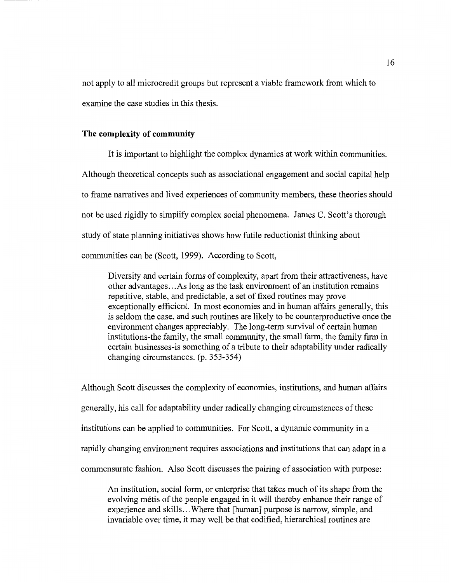not apply to all microcredit groups but represent a viable framework from which to examine the case studies in this thesis.

## **The complexity of community**

It is important to highlight the complex dynamics at work within communities. Although theoretical concepts such as associational engagement and social capital help to frame narratives and lived experiences of community members, these theories should not be used rigidly to simplify complex social phenomena. James C. Scott's thorough study of state planning initiatives shows how futile reductionist thinking about communities can be (Scott, 1999). According to Scott,

Diversity and certain forms of complexity, apart from their attractiveness, have other advantages...As long as the task environment of an institution remains repetitive, stable, and predictable, a set of fixed routines may prove exceptionally efficient. **In** most economies and in human affairs generally, this is seldom the case, and such routines are likely to be counterproductive once the environment changes appreciably. The long-term survival of certain human institutions-the family, the small community, the small farm, the family firm in certain businesses-is something of a tribute to their adaptability under radically changing circumstances. (p. 353-354)

Although Scott discusses the complexity of economies, institutions, and human affairs generally, his call for adaptability under radically changing circumstances ofthese institutions can be applied to communities. For Scott, a dynamic community in a rapidly changing environment requires associations and institutions that can adapt in a commensurate fashion. Also Scott discusses the pairing of association with purpose:

An institution, social form, or enterprise that takes much of its shape from the evolving métis of the people engaged in it will thereby enhance their range of experience and skills...Where that [human] purpose is narrow, simple, and invariable over time, it may well be that codified, hierarchical routines are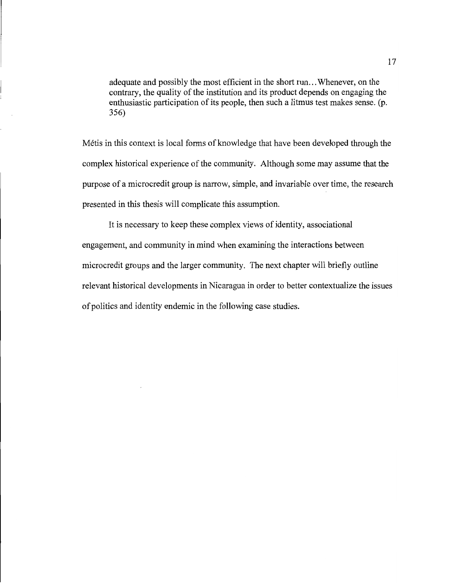adequate and possibly the most efficient in the short run...Whenever, on the contrary, the quality of the institution and its product depends on engaging the enthusiastic participation of its people, then such a litmus test makes sense. (p. 356)

Metis in this context is local forms of knowledge that have been developed through the complex historical experience of the community. Although some may assume that the purpose of a microcredit group is narrow, simple, and invariable over time, the research presented in this thesis will complicate this assumption.

It is necessary to keep these complex views of identity, associational engagement, and community in mind when examining the interactions between microcredit groups and the larger community. The next chapter will briefly outline relevant historical developments in Nicaragua in order to better contextualize the issues of politics and identity endemic in the following case studies.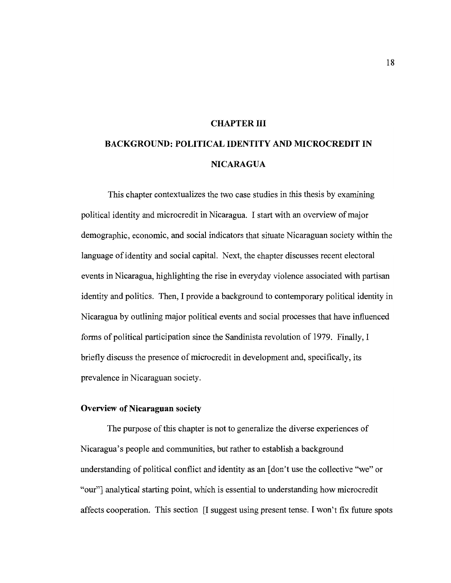#### CHAPTER III

# BACKGROUND: POLITICAL IDENTITY AND MICROCREDIT IN **NICARAGUA**

This chapter contextualizes the two case studies in this thesis by examining political identity and microcredit in Nicaragua. I start with an overview of major demographic, economic, and social indicators that situate Nicaraguan society within the language of identity and social capital. Next, the chapter discusses recent electoral events in Nicaragua, highlighting the rise in everyday violence associated with partisan identity and politics. Then, I provide a background to contemporary political identity in Nicaragua by outlining major political events and social processes that have influenced forms of political participation since the Sandinista revolution of 1979. Finally, I briefly discuss the presence of microcredit in development and, specifically, its prevalence in Nicaraguan society.

#### Overview of Nicaraguan society

The purpose of this chapter is not to generalize the diverse experiences of Nicaragua's people and communities, but rather to establish a background understanding of political conflict and identity as an [don't use the collective "we" or "our"] analytical starting point, which is essential to understanding how microcredit affects cooperation. This section [I suggest using present tense. I won't fix future spots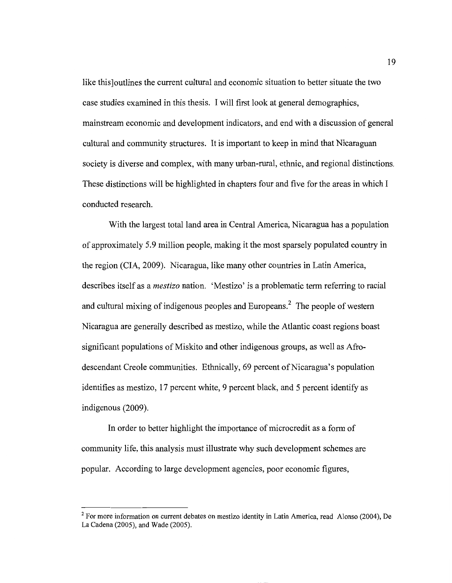like this]outlines the current cultural and economic situation to better situate the two case studies examined in this thesis. I will first look at general demographics, mainstream economic and development indicators, and end with a discussion of general cultural and community structures. It is important to keep in mind that Nicaraguan society is diverse and complex, with many urban-rural, ethnic, and regional distinctions. These distinctions will be highlighted in chapters four and five for the areas in which I conducted research.

With the largest total land area in Central America, Nicaragua has a population of approximately 5.9 million people, making it the most sparsely populated country in the region (CIA, 2009). Nicaragua, like many other countries in Latin America, describes itself as a *mestizo* nation. 'Mestizo' is a problematic term referring to racial and cultural mixing of indigenous peoples and Europeans.<sup>2</sup> The people of western Nicaragua are generally described as mestizo, while the Atlantic coast regions boast significant populations of Miskito and other indigenous groups, as well as Afrodescendant Creole communities. Ethnically, 69 percent of Nicaragua's population identifies as mestizo, 17 percent white, 9 percent black, and 5 percent identify as indigenous (2009).

In order to better highlight the importance of microcredit as a form of community life, this analysis must illustrate why such development schemes are popular. According to large development agencies, poor economic figures,

<sup>&</sup>lt;sup>2</sup> For more information on current debates on mestizo identity in Latin America, read Alonso (2004), De La Cadena (2005), and Wade (2005).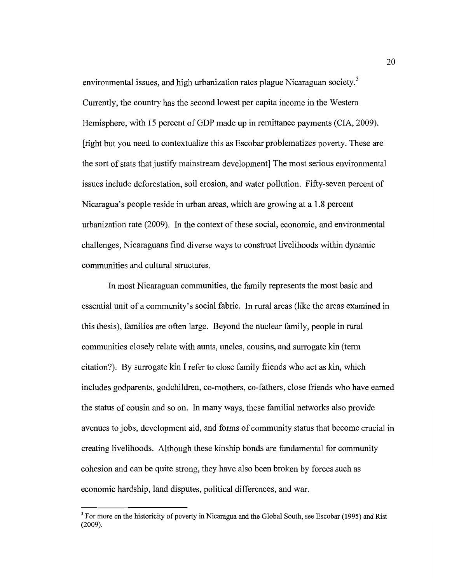environmental issues, and high urbanization rates plague Nicaraguan society.<sup>3</sup> Currently, the country has the second lowest per capita income in the Western Hemisphere, with 15 percent of GDP made up in remittance payments (CIA, 2009). [right but you need to contextualize this as Escobar problematizes poverty. These are the sort of stats that justify mainstream development] The most serious environmental issues include deforestation, soil erosion, and water pollution. Fifty-seven percent of Nicaragua's people reside in urban areas, which are growing at a 1.8 percent urbanization rate (2009). In the context of these social, economic, and environmental challenges, Nicaraguans find diverse ways to construct livelihoods within dynamic communities and cultural structures.

In most Nicaraguan communities, the family represents the most basic and essential unit of a community's social fabric. In rural areas (like the areas examined in this thesis), families are often large. Beyond the nuclear family, people in rural communities closely relate with aunts, uncles, cousins, and surrogate kin (term citation?). By surrogate kin I refer to close family friends who act as kin, which includes godparents, godchildren, co-mothers, co-fathers, close friends who have earned the status of cousin and so on. In many ways, these familial networks also provide avenues to jobs, development aid, and forms of community status that become crucial in creating livelihoods. Although these kinship bonds are fundamental for community cohesion and can be quite strong, they have also been broken by forces such as economic hardship, land disputes, political differences, and war.

<sup>&</sup>lt;sup>3</sup> For more on the historicity of poverty in Nicaragua and the Global South, see Escobar (1995) and Rist (2009).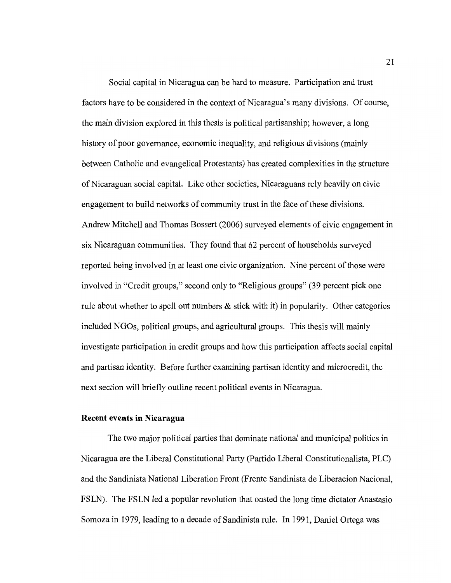Social capital in Nicaragua can be hard to measure. Participation and trust factors have to be considered in the context of Nicaragua's many divisions. Of course, the main division explored in this thesis is political partisanship; however, a long history of poor governance, economic inequality, and religious divisions (mainly between Catholic and evangelical Protestants) has created complexities in the structure ofNicaraguan social capital. Like other societies, Nicaraguans rely heavily on civic engagement to build networks of community trust in the face of these divisions. Andrew Mitchell and Thomas Bossert (2006) surveyed elements of civic engagement in six Nicaraguan communities. They found that 62 percent of households surveyed reported being involved in at least one civic organization. Nine percent ofthose were involved in "Credit groups," second only to "Religious groups" (39 percent pick one rule about whether to spell out numbers  $\&$  stick with it) in popularity. Other categories included NGOs, political groups, and agricultural groups. This thesis will mainly investigate participation in credit groups and how this participation affects social capital and partisan identity. Before further examining partisan identity and microcredit, the next section will briefly outline recent political events in Nicaragua.

#### **Recent events in Nicaragua**

The two major political parties that dominate national and municipal politics in Nicaragua are the Liberal Constitutional Party (Partido Liberal Constitutionalista, PLC) and the Sandinista National Liberation Front (Frente Sandinista de Liberacion Nacional, FSLN). The FSLN led a popular revolution that ousted the long time dictator Anastasio Somoza in 1979, leading to a decade of Sandinista rule. In 1991, Daniel Ortega was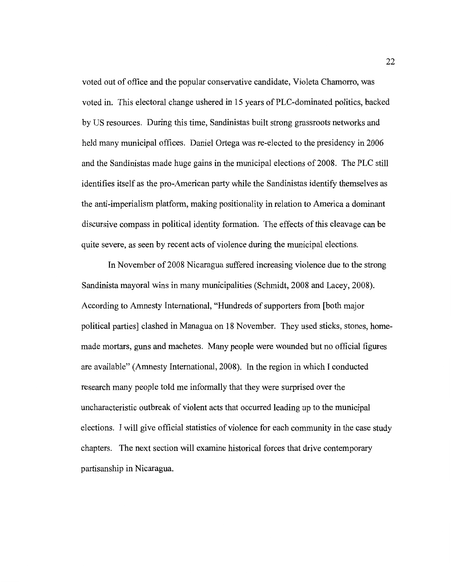voted out of office and the popular conservative candidate, Violeta Chamorro, was voted in. This electoral change ushered in 15 years of PLC-dominated politics, backed by US resources. During this time, Sandinistas built strong grassroots networks and held many municipal offices. Daniel Ortega was re-elected to the presidency in 2006 and the Sandinistas made huge gains in the municipal elections of 2008. The PLC still identifies itself as the pro-American party while the Sandinistas identify themselves as the anti-imperialism platform, making positionality in relation to America a dominant discursive compass in political identity formation. The effects ofthis cleavage can be quite severe, as seen by recent acts of violence during the municipal elections.

In November of 2008 Nicaragua suffered increasing violence due to the strong Sandinista mayoral wins in many municipalities (Schmidt, 2008 and Lacey, 2008). According to Amnesty International, "Hundreds of supporters from [both major political parties] clashed in Managua on 18 November. They used sticks, stones, homemade mortars, guns and machetes. Many people were wounded but no official figures are available" (Amnesty International, 2008). In the region in which I conducted research many people told me informally that they were surprised over the uncharacteristic outbreak of violent acts that occurred leading up to the municipal elections. I will give official statistics of violence for each community in the case study chapters. The next section will examine historical forces that drive contemporary partisanship in Nicaragua.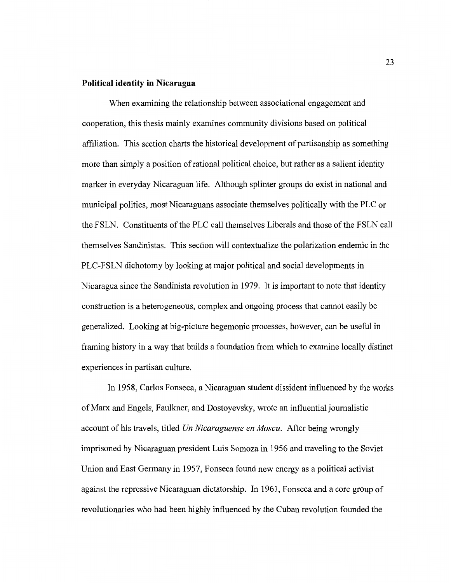#### **Political identity in Nicaragua**

When examining the relationship between associational engagement and cooperation, this thesis mainly examines community divisions based on political affiliation. This section charts the historical development of partisanship as something more than simply a position of rational political choice, but rather as a salient identity marker in everyday Nicaraguan life. Although splinter groups do exist in national and municipal politics, most Nicaraguans associate themselves politically with the PLC or the FSLN. Constituents ofthe PLC call themselves Liberals and those ofthe FSLN call themselves Sandinistas. This section will contextualize the polarization endemic in the PLC-FSLN dichotomy by looking at major political and social developments in Nicaragua since the Sandinista revolution in 1979. It is important to note that identity construction is a heterogeneous, complex and ongoing process that cannot easily be generalized. Looking at big-picture hegemonic processes, however, can be useful in framing history in a way that builds a foundation from which to examine locally distinct experiences in partisan culture.

**In** 1958, Carlos Fonseca, a Nicaraguan student dissident influenced by the works ofMarx and Engels, Faulkner, and Dostoyevsky, wrote an influentia1joumalistic account of his travels, titled *Un Nicaraguense en Moscu.* After being wrongly imprisoned by Nicaraguan president Luis Somoza in 1956 and traveling to the Soviet Union and East Germany in 1957, Fonseca found new energy as a political activist against the repressive Nicaraguan dictatorship. **In** 1961, Fonseca and a core group of revolutionaries who had been highly influenced by the Cuban revolution founded the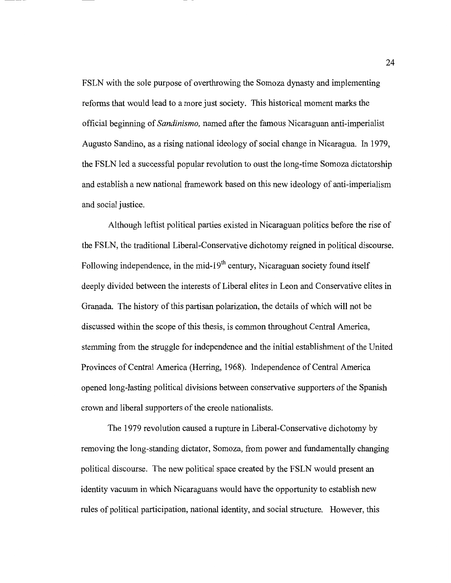FSLN with the sole purpose of overthrowing the Somoza dynasty and implementing reforms that would lead to a more just society. This historical moment marks the official beginning of *Sandinismo,* named after the famous Nicaraguan anti-imperialist Augusto Sandino, as a rising national ideology of social change in Nicaragua. In 1979, the FSLN led a successful popular revolution to oust the long-time Somoza dictatorship and establish a new national framework based on this new ideology of anti-imperialism and social justice.

Although leftist political parties existed in Nicaraguan politics before the rise of the FSLN, the traditional Liberal-Conservative dichotomy reigned in political discourse. Following independence, in the mid-19<sup>th</sup> century, Nicaraguan society found itself deeply divided between the interests of Liberal elites in Leon and Conservative elites in Granada. The history of this partisan polarization, the details of which will not be discussed within the scope ofthis thesis, is common throughout Central America, stemming from the struggle for independence and the initial establishment of the United Provinces of Central America (Herring, 1968). Independence of Central America opened long-lasting political divisions between conservative supporters of the Spanish crown and liberal supporters of the creole nationalists.

The 1979 revolution caused a rupture in Liberal-Conservative dichotomy by removing the long-standing dictator, Somoza, from power and fundamentally changing political discourse. The new political space created by the FSLN would present an identity vacuum in which Nicaraguans would have the opportunity to establish new rules of political participation, national identity, and social structure. However, this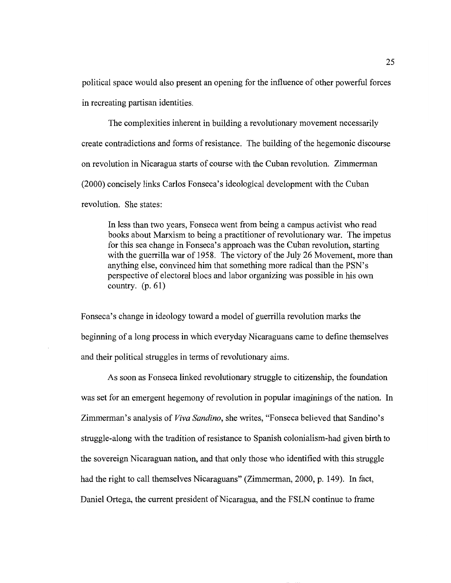political space would also present an opening for the influence of other powerful forces in recreating partisan identities.

The complexities inherent in building a revolutionary movement necessarily create contradictions and forms of resistance. The building of the hegemonic discourse on revolution in Nicaragua starts of course with the Cuban revolution. Zimmerman (2000) concisely links Carlos Fonseca's ideological development with the Cuban revolution. She states:

**In** less than two years, Fonseca went from being a campus activist who read books about Marxism to being a practitioner ofrevolutionary war. The impetus for this sea change in Fonseca's approach was the Cuban revolution, starting with the guerrilla war of 1958. The victory of the July 26 Movement, more than anything else, convinced him that something more radical than the PSN's perspective of electoral blocs and labor organizing was possible in his own country.  $(p.61)$ 

Fonseca's change in ideology toward a model of guerrilla revolution marks the beginning of a long process in which everyday Nicaraguans came to define themselves and their political struggles in terms of revolutionary aims.

As soon as Fonseca linked revolutionary struggle to citizenship, the foundation was set for an emergent hegemony of revolution in popular imaginings of the nation. In Zimmerman's analysis of *Viva Sandino,* she writes, "Fonseca believed that Sandino's struggle-along with the tradition ofresistance to Spanish colonialism-had given birth to the sovereign Nicaraguan nation, and that only those who identified with this struggle had the right to call themselves Nicaraguans" (Zimmerman, 2000, p. 149). **In** fact, Daniel Ortega, the current president of Nicaragua, and the FSLN continue to frame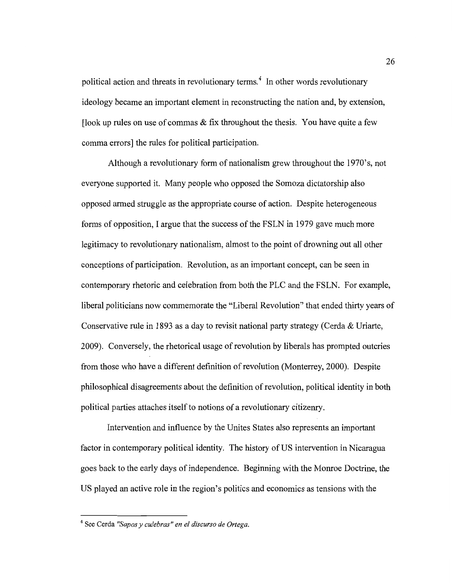political action and threats in revolutionary terms.<sup>4</sup> In other words revolutionary ideology became an important element in reconstructing the nation and, by extension, [look up rules on use of commas  $\&$  fix throughout the thesis. You have quite a few comma errors] the rules for political participation.

Although a revolutionary form of nationalism grew throughout the 1970's, not everyone supported it. Many people who opposed the Somoza dictatorship also opposed armed struggle as the appropriate course of action. Despite heterogeneous forms of opposition, I argue that the success of the FSLN in 1979 gave much more legitimacy to revolutionary nationalism, almost to the point of drowning out all other conceptions of participation. Revolution, as an important concept, can be seen in contemporary rhetoric and celebration from both the PLC and the FSLN. For example, liberal politicians now commemorate the "Liberal Revolution" that ended thirty years of Conservative rule in 1893 as a day to revisit national party strategy (Cerda & Uriarte, 2009). Conversely, the rhetorical usage ofrevolution by liberals has prompted outcries from those who have a different definition of revolution (Monterrey, 2000). Despite philosophical disagreements about the definition ofrevolution, political identity in both political parties attaches itself to notions of a revolutionary citizenry.

Intervention and influence by the Unites States also represents an important factor in contemporary political identity. The history of US intervention in Nicaragua goes back to the early days of independence. Beginning with the Monroe Doctrine, the US played an active role in the region's politics and economics as tensions with the

<sup>4</sup> See Cerda *"Sapos y culebras" en el discurso de Ortega.*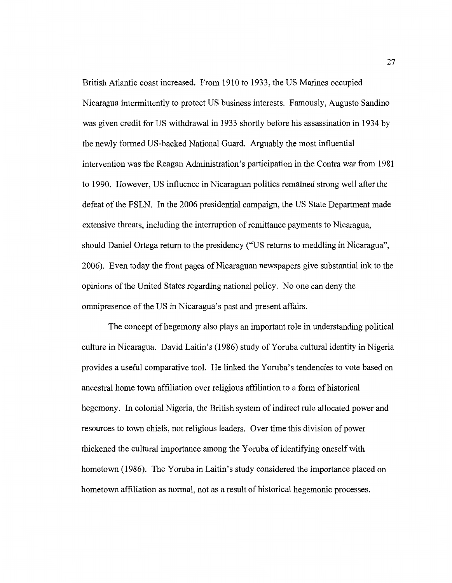British Atlantic coast increased. From 1910 to 1933, the US Marines occupied Nicaragua intermittently to protect US business interests. Famously, Augusto Sandino was given credit for US withdrawal in 1933 shortly before his assassination in 1934 by the newly formed US-backed National Guard. Arguably the most influential intervention was the Reagan Administration's participation in the Contra war from 1981 to 1990. However, US influence in Nicaraguan politics remained strong well after the defeat of the FSLN. In the 2006 presidential campaign, the US State Department made extensive threats, including the interruption of remittance payments to Nicaragua, should Daniel Ortega return to the presidency ("US returns to meddling in Nicaragua", 2006). Even today the front pages of Nicaraguan newspapers give substantial ink to the opinions ofthe United States regarding national policy. No one can deny the omnipresence of the US in Nicaragua's past and present affairs.

The concept of hegemony also plays an important role in understanding political culture in Nicaragua. David Laitin's (1986) study of Yoruba cultural identity in Nigeria provides a useful comparative tool. He linked the Yoruba's tendencies to vote based on ancestral home town affiliation over religious affiliation to a form of historical hegemony. In colonial Nigeria, the British system of indirect rule allocated power and resources to town chiefs, not religious leaders. Over time this division of power thickened the cultural importance among the Yoruba of identifying oneself with hometown (1986). The Yoruba in Laitin's study considered the importance placed on hometown affiliation as normal, not as a result of historical hegemonic processes.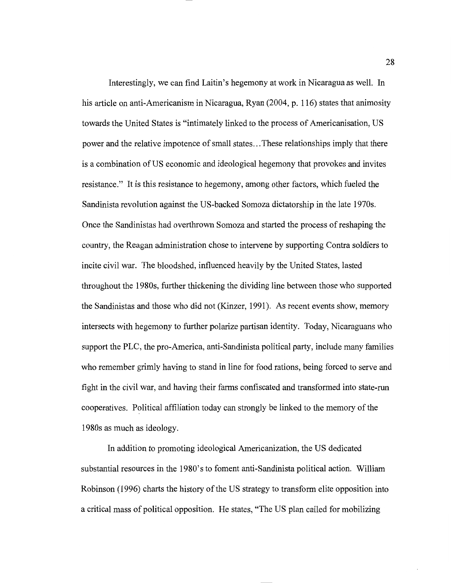Interestingly, we can find Laitin's hegemony at work in Nicaragua as well. In his article on anti-Americanism in Nicaragua, Ryan (2004, p. 116) states that animosity towards the United States is "intimately linked to the process of Americanisation, US power and the relative impotence of small states...These relationships imply that there is a combination of US economic and ideological hegemony that provokes and invites resistance." It is this resistance to hegemony, among other factors, which fueled the Sandinista revolution against the US-backed Somoza dictatorship in the late 1970s. Once the Sandinistas had overthrown Somoza and started the process ofreshaping the country, the Reagan administration chose to intervene by supporting Contra soldiers to incite civil war. The bloodshed, influenced heavily by the United States, lasted throughout the 1980s, further thickening the dividing line between those who supported the Sandinistas and those who did not (Kinzer, 1991). As recent events show, memory intersects with hegemony to further polarize partisan identity. Today, Nicaraguans who support the PLC, the pro-America, anti-Sandinista political party, include many families who remember grimly having to stand in line for food rations, being forced to serve and fight in the civil war, and having their farms confiscated and transformed into state-run cooperatives. Political affiliation today can strongly be linked to the memory of the 1980s as much as ideology.

In addition to promoting ideological Americanization, the US dedicated substantial resources in the 1980's to foment anti-Sandinista political action. William Robinson (1996) charts the history of the US strategy to transform elite opposition into a critical mass of political opposition. He states, "The US plan called for mobilizing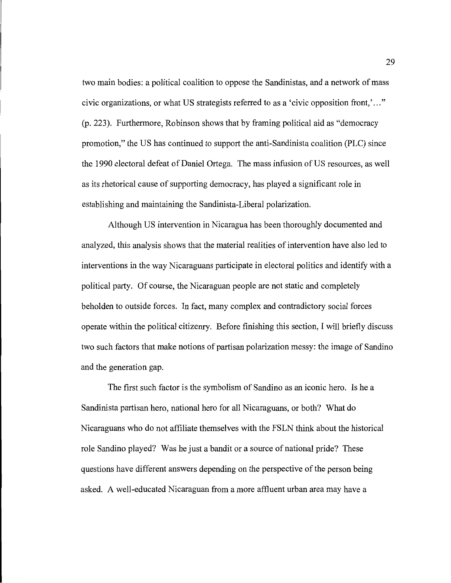two main bodies: a political coalition to oppose the Sandinistas, and a network of mass civic organizations, or what US strategists referred to as a 'civic opposition front,' ... " (p.223). Furthermore, Robinson shows that by framing political aid as "democracy promotion," the US has continued to support the anti-Sandinista coalition (PLC) since the 1990 electoral defeat of Daniel Ortega. The mass infusion of US resources, as well as its rhetorical cause of supporting democracy, has played a significant role in establishing and maintaining the Sandinista-Liberal polarization.

Although US intervention in Nicaragua has been thoroughly documented and analyzed, this analysis shows that the material realities ofintervention have also led to interventions in the way Nicaraguans participate in electoral politics and identify with a political party. Of course, the Nicaraguan people are not static and completely beholden to outside forces. In fact, many complex and contradictory social forces operate within the political citizenry. Before finishing this section, I will briefly discuss two such factors that make notions of partisan polarization messy: the image of Sandino and the generation gap.

The first such factor is the symbolism of Sandino as an iconic hero. Is he a Sandinista partisan hero, national hero for all Nicaraguans, or both? What do Nicaraguans who do not affiliate themselves with the FSLN think about the historical role Sandino played? Was he just a bandit or a source of national pride? These questions have different answers depending on the perspective of the person being asked. A well-educated Nicaraguan from a more affluent urban area may have a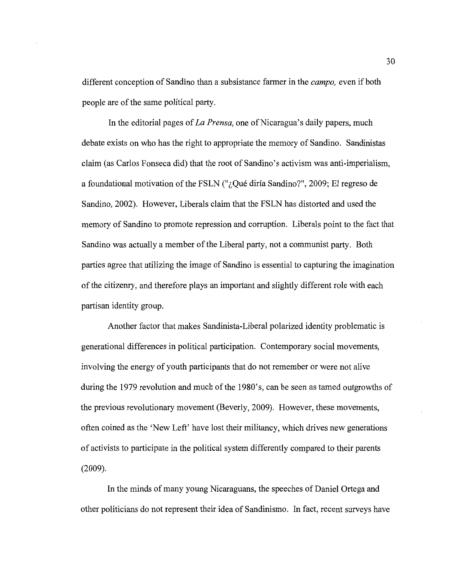different conception of Sandino than a subsistance fanner in the *campo,* even if both people are of the same political party.

In the editorial pages of *La Prensa*, one of Nicaragua's daily papers, much debate exists on who has the right to appropriate the memory of Sandino. Sandinistas claim (as Carlos Fonseca did) that the root of Sandino's activism was anti-imperialism, a foundational motivation of the FSLN ("¿Qué diría Sandino?", 2009; El regreso de Sandino,2002). However, Liberals claim that the FSLN has distorted and used the memory of Sandino to promote repression and corruption. Liberals point to the fact that Sandino was actually a member of the Liberal party, not a communist party. Both parties agree that utilizing the image of Sandino is essential to capturing the imagination of the citizenry, and therefore plays an important and slightly different role with each partisan identity group.

Another factor that makes Sandinista-Liberal polarized identity problematic is generational differences in political participation. Contemporary social movements, involving the energy of youth participants that do not remember or were not alive during the 1979 revolution and much of the 1980's, can be seen as tamed outgrowths of the previous revolutionary movement (Beverly, 2009). However, these movements, often coined as the 'New Left' have lost their militancy, which drives new generations of activists to participate in the political system differently compared to their parents (2009).

In the minds of many young Nicaraguans, the speeches of Daniel Ortega and other politicians do not represent their idea of Sandinismo. In fact, recent surveys have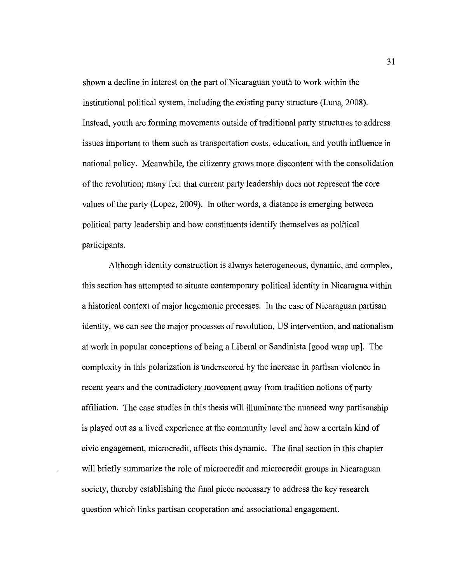shown a decline in interest on the part of Nicaraguan youth to work within the institutional political system, including the existing party structure (Luna, 2008). Instead, youth are forming movements outside of traditional party structures to address issues important to them such as transportation costs, education, and youth influence in national policy. Meanwhile, the citizenry grows more discontent with the consolidation of the revolution; many feel that current party leadership does not represent the core values ofthe party (Lopez, 2009). In other words, a distance is emerging between political party leadership and how constituents identify themselves as political participants.

Although identity construction is always heterogeneous, dynamic, and complex, this section has attempted to situate contemporary political identity in Nicaragua within a historical context of major hegemonic processes. In the case of Nicaraguan partisan identity, we can see the major processes of revolution, US intervention, and nationalism at work in popular conceptions of being a Liberal or Sandinista [good wrap up]. The complexity in this polarization is underscored by the increase in partisan violence in recent years and the contradictory movement away from tradition notions of party affiliation. The case studies in this thesis will illuminate the nuanced way partisanship is played out as a lived experience at the community level and how a certain kind of civic engagement, microcredit, affects this dynamic. The final section in this chapter will briefly summarize the role of microcredit and microcredit groups in Nicaraguan society, thereby establishing the final piece necessary to address the key research question which links partisan cooperation and associational engagement.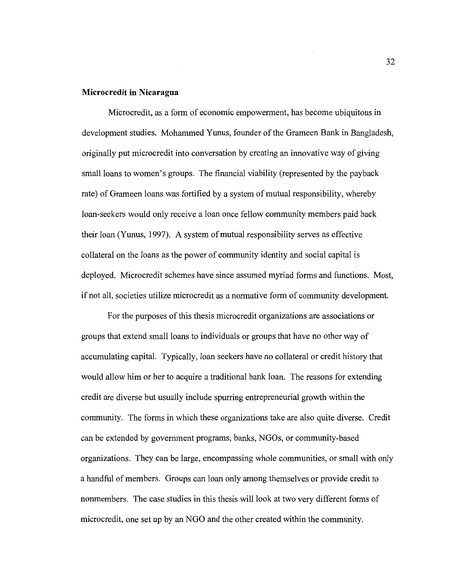#### **Microcredit in Nicaragua**

Microcredit, as a form of economic empowerment, has become ubiquitous in development studies. Mohammed Yunus, founder of the Grameen Bank in Bangladesh, originally put microcredit into conversation by creating an innovative way of giving small loans to women's groups. The financial viability (represented by the payback rate) of Grameen loans was fortified by a system of mutual responsibility, whereby loan-seekers would only receive a loan once fellow community members paid back their loan (Yunus, 1997). A system of mutual responsibility serves as effective collateral on the loans as the power of community identity and social capital is deployed. Microcredit schemes have since assumed myriad forms and functions. Most, if not all, societies utilize microcredit as a normative form of community development.

For the purposes of this thesis microcredit organizations are associations or groups that extend small loans to individuals or groups that have no other way of accumulating capital. Typically, loan seekers have no collateral or credit history that would allow him or her to acquire a traditional bank loan. The reasons for extending credit are diverse but usually include spurring entrepreneurial growth within the community. The forms in which these organizations take are also quite diverse. Credit can be extended by government programs, banks, NGOs, or community-based organizations. They can be large, encompassing whole communities, or small with only a handful of members. Groups can loan only among themselves or provide credit to nonmembers. The case studies in this thesis will look at two very different forms of microcredit, one set up by an NGO and the other created within the community.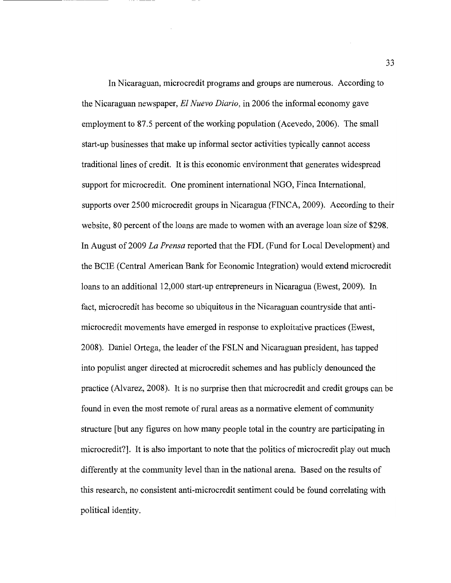In Nicaraguan, microcredit programs and groups are numerous. According to the Nicaraguan newspaper, *EI Nuevo Diario,* in 2006 the informal economy gave employment to 87.5 percent of the working population (Acevedo, 2006). The small start-up businesses that make up informal sector activities typically cannot access traditional lines of credit. It is this economic environment that generates widespread support for microcredit. One prominent international NGO, Finca International, supports over 2500 microcredit groups in Nicaragua (FINCA, 2009). According to their website, 80 percent of the loans are made to women with an average loan size of \$298. In August of 2009 *La Prensa* reported that the FDL (Fund for Local Development) and the BCIE (Central American Bank for Economic Integration) would extend microcredit loans to an additional 12,000 start-up entrepreneurs in Nicaragua (Ewest, 2009). In fact, microcredit has become so ubiquitous in the Nicaraguan countryside that antimicrocredit movements have emerged in response to exploitative practices (Ewest, 2008). Daniel Ortega, the leader ofthe FSLN and Nicaraguan president, has tapped into populist anger directed at microcredit schemes and has publicly denounced the practice (Alvarez, 2008). It is no surprise then that microcredit and credit groups can be found in even the most remote of rural areas as a normative element of community structure [but any figures on how many people total in the country are participating in microcredit?]. It is also important to note that the politics of microcredit play out much differently at the community level than in the national arena. Based on the results of this research, no consistent anti-microcredit sentiment could be found correlating with political identity.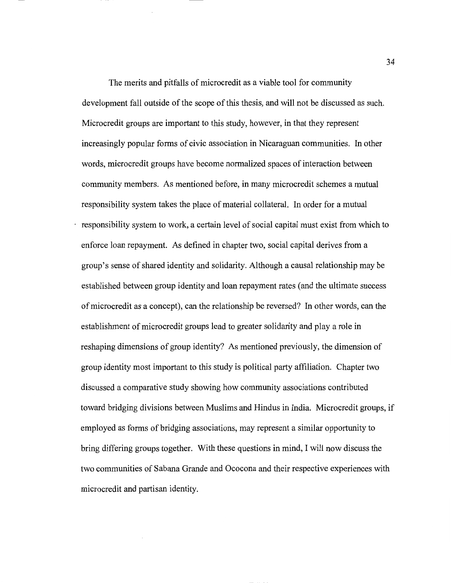The merits and pitfalls of microcredit as a viable tool for community development fall outside of the scope of this thesis, and will not be discussed as such. Microcredit groups are important to this study, however, in that they represent increasingly popular forms of civic association in Nicaraguan communities. In other words, microcredit groups have become normalized spaces of interaction between community members. As mentioned before, in many microcredit schemes a mutual responsibility system takes the place of material collateral. In order for a mutual responsibility system to work, a certain level of social capital must exist from which to enforce loan repayment. As defined in chapter two, social capital derives from a group's sense of shared identity and solidarity. Although a causal relationship may be established between group identity and loan repayment rates (and the ultimate success of microcredit as a concept), can the relationship be reversed? In other words, can the establishment of microcredit groups lead to greater solidarity and playa role in reshaping dimensions of group identity? As mentioned previously, the dimension of group identity most important to this study is political party affiliation. Chapter two discussed a comparative study showing how community associations contributed toward bridging divisions between Muslims and Hindus in India. Microcredit groups, if employed as forms of bridging associations, may represent a similar opportunity to bring differing groups together. With these questions in mind, I will now discuss the two communities of Sabana Grande and Ococona and their respective experiences with microcredit and partisan identity.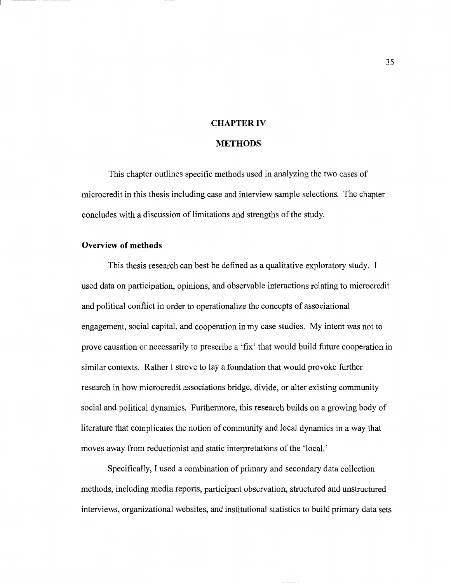# CHAPTER IV

### **METHODS**

This chapter outlines specific methods used in analyzing the two cases of microcredit in this thesis including case and interview sample selections. The chapter concludes with a discussion of limitations and strengths of the study.

#### **Overview of methods**

This thesis research can best be defined as a qualitative exploratory study. I used data on participation, opinions, and observable interactions relating to microcredit and political conflict in order to operationalize the concepts of associational engagement, social capital, and cooperation in my case studies. My intent was not to prove causation or necessarily to prescribe a 'fix' that would build future cooperation in similar contexts. Rather I strove to lay a foundation that would provoke further research in how microcredit associations bridge, divide, or alter existing community social and political dynamics. Furthermore, this research builds on a growing body of literature that complicates the notion of community and local dynamics in a way that moves away from reductionist and static interpretations of the 'local.'

Specifically, I used a combination of primary and secondary data collection methods, including media reports, participant observation, structured and unstructured interviews, organizational websites, and institutional statistics to build primary data sets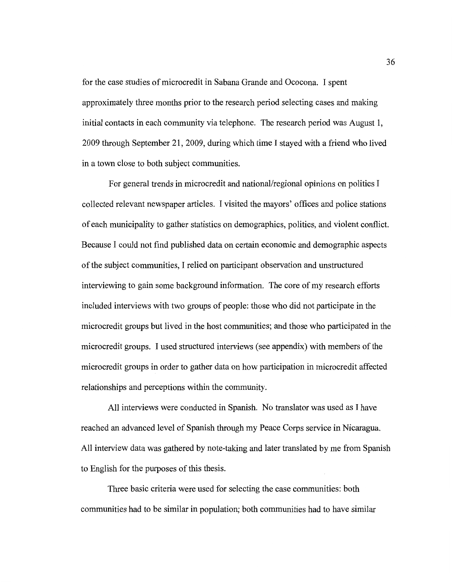for the case studies of microcredit in Sabana Grande and Ococona. I spent approximately three months prior to the research period selecting cases and making initial contacts in each community via telephone. The research period was August 1, 2009 through September 21,2009, during which time I stayed with a friend who lived in a town close to both subject communities.

For general trends in microcredit and national/regional opinions on politics I collected relevant newspaper articles. I visited the mayors' offices and police stations of each municipality to gather statistics on demographics, politics, and violent conflict. Because I could not find published data on certain economic and demographic aspects ofthe subject communities, I relied on participant observation and unstructured interviewing to gain some background information. The core of my research efforts included interviews with two groups of people: those who did not participate in the microcredit groups but lived in the host communities; and those who participated in the microcredit groups. I used structured interviews (see appendix) with members of the microcredit groups in order to gather data on how participation in microcredit affected relationships and perceptions within the community.

All interviews were conducted in Spanish. No translator was used as I have reached an advanced level of Spanish through my Peace Corps service in Nicaragua. All interview data was gathered by note-taking and later translated by me from Spanish to English for the purposes of this thesis.

Three basic criteria were used for selecting the case communities: both communities had to be similar in population; both communities had to have similar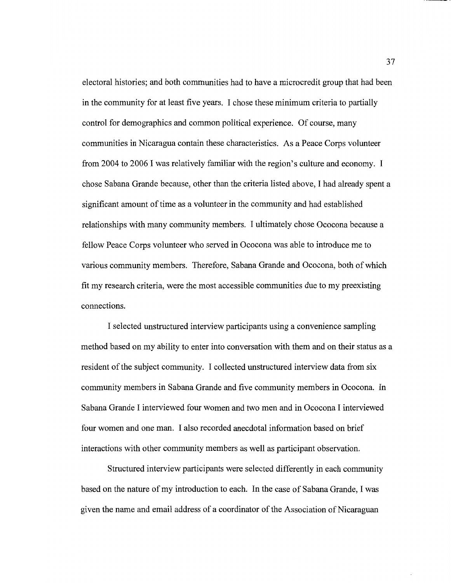electoral histories; and both communities had to have a microcredit group that had been in the community for at least five years. I chose these minimum criteria to partially control for demographics and common political experience. Of course, many communities in Nicaragua contain these characteristics. As a Peace Corps volunteer from 2004 to 2006 I was relatively familiar with the region's culture and economy. I chose Sabana Grande because, other than the criteria listed above, I had already spent a significant amount of time as a volunteer in the community and had established relationships with many community members. I ultimately chose Ococona because a fellow Peace Corps volunteer who served in Ococona was able to introduce me to various community members. Therefore, Sabana Grande and Ococona, both of which fit my research criteria, were the most accessible communities due to my preexisting connections.

I selected unstructured interview participants using a convenience sampling method based on my ability to enter into conversation with them and on their status as a resident of the subject community. I collected unstructured interview data from six community members in Sabana Grande and five community members in Ococona. **In** Sabana Grande I interviewed four women and two men and in Ococona I interviewed four women and one man. I also recorded anecdotal information based on brief interactions with other community members as well as participant observation.

Structured interview participants were selected differently in each community based on the nature of my introduction to each. In the case of Sabana Grande, I was given the name and email address of a coordinator of the Association of Nicaraguan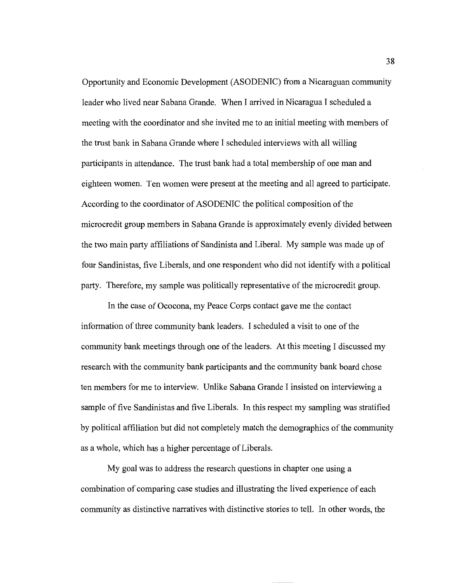Opportunity and Economic Development (ASODENIC) from a Nicaraguan community leader who lived near Sabana Grande. When I arrived in Nicaragua I scheduled a meeting with the coordinator and she invited me to an initial meeting with members of the trust bank in Sabana Grande where I scheduled interviews with all willing participants in attendance. The trust bank had a total membership of one man and eighteen women. Ten women were present at the meeting and all agreed to participate. According to the coordinator of ASODENIC the political composition of the microcredit group members in Sabana Grande is approximately evenly divided between the two main party affiliations of Sandinista and Liberal. My sample was made up of four Sandinistas, five Liberals, and one respondent who did not identify with a political party. Therefore, my sample was politically representative of the microcredit group.

In the case of Ococona, my Peace Corps contact gave me the contact information of three community bank leaders. I scheduled a visit to one of the community bank meetings through one of the leaders. At this meeting I discussed my research with the community bank participants and the community bank board chose ten members for me to interview. Unlike Sabana Grande I insisted on interviewing a sample of five Sandinistas and five Liberals. In this respect my sampling was stratified by political affiliation but did not completely match the demographics ofthe community as a whole, which has a higher percentage of Liberals.

My goal was to address the research questions in chapter one using a combination of comparing case studies and illustrating the lived experience of each community as distinctive narratives with distinctive stories to tell. In other words, the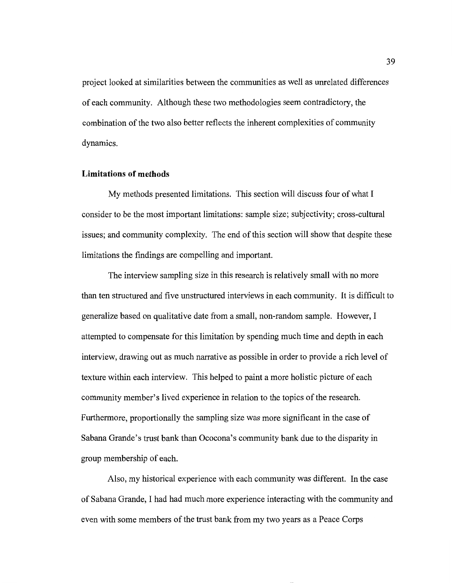project looked at similarities between the communities as well as umelated differences of each community. Although these two methodologies seem contradictory, the combination of the two also better reflects the inherent complexities of community dynamics.

#### **Limitations of methods**

My methods presented limitations. This section will discuss four of what I consider to be the most important limitations: sample size; subjectivity; cross-cultural issues; and community complexity. The end of this section will show that despite these limitations the findings are compelling and important.

The interview sampling size in this research is relatively small with no more than ten structured and five unstructured interviews in each community. It is difficult to generalize based on qualitative date from a small, non-random sample. However, I attempted to compensate for this limitation by spending much time and depth in each interview, drawing out as much narrative as possible in order to provide a rich level of texture within each interview. This helped to paint a more holistic picture of each community member's lived experience in relation to the topics of the research. Furthermore, proportionally the sampling size was more significant in the case of Sabana Grande's trust bank than Ococona's community bank due to the disparity in group membership of each.

Also, my historical experience with each community was different. In the case of Sabana Grande, I had had much more experience interacting with the community and even with some members of the trust bank from my two years as a Peace Corps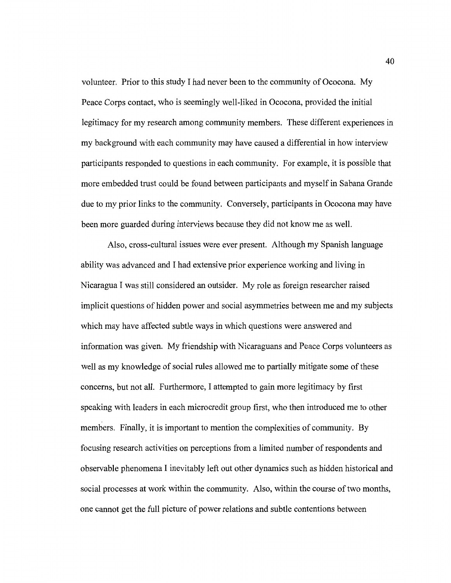volunteer. Prior to this study I had never been to the community of Ococona. My Peace Corps contact, who is seemingly well-liked in Ococona, provided the initial legitimacy for my research among community members. These different experiences in my background with each community may have caused a differential in how interview participants responded to questions in each community. For example, it is possible that more embedded trust could be found between participants and myself in Sabana Grande due to my prior links to the community. Conversely, participants in Ococona may have been more guarded during interviews because they did not know me as well.

Also, cross-cultural issues were ever present. Although my Spanish language ability was advanced and I had extensive prior experience working and living in Nicaragua I was still considered an outsider. My role as foreign researcher raised implicit questions of hidden power and social asymmetries between me and my subjects which may have affected subtle ways in which questions were answered and information was given. My friendship with Nicaraguans and Peace Corps volunteers as well as my knowledge of social rules allowed me to partially mitigate some of these concerns, but not all. Furthermore, I attempted to gain more legitimacy by first speaking with leaders in each microcredit group first, who then introduced me to other members. Finally, it is important to mention the complexities of community. By focusing research activities on perceptions from a limited number ofrespondents and observable phenomena I inevitably left out other dynamics such as hidden historical and social processes at work within the community. Also, within the course of two months, one cannot get the full picture of power relations and subtle contentions between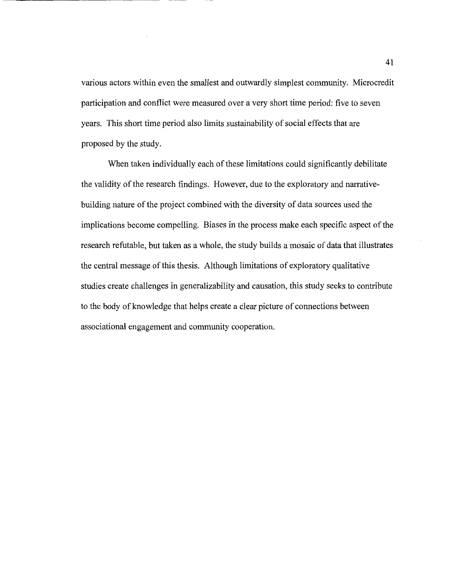various actors within even the smallest and outwardly simplest community. Microcredit participation and conflict were measured over a very short time period: five to seven years. This short time period also limits sustainability of social effects that are proposed by the study.

------------------ -----

When taken individually each of these limitations could significantly debilitate the validity of the research findings. However, due to the exploratory and narrativebuilding nature of the project combined with the diversity of data sources used the implications become compelling. Biases in the process make each specific aspect of the research refutable, but taken as a whole, the study builds a mosaic of data that illustrates the central message of this thesis. Although limitations of exploratory qualitative studies create challenges in generalizability and causation, this study seeks to contribute to the body of knowledge that helps create a clear picture of connections between associational engagement and community cooperation.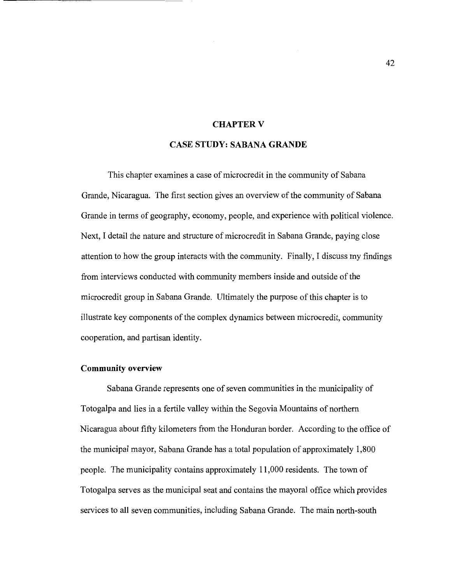#### CHAPTER V

#### **CASE STUDY:** SABANA **GRANDE**

This chapter examines a case of microcredit in the community of Sabana Grande, Nicaragua. The first section gives an overview of the community of Sabana Grande in terms of geography, economy, people, and experience with political violence. Next, I detail the nature and structure of microcredit in Sabana Grande, paying close attention to how the group interacts with the community. Finally, I discuss my findings from interviews conducted with community members inside and outside of the microcredit group in Sabana Grande. Ultimately the purpose of this chapter is to illustrate key components of the complex dynamics between microcredit, community cooperation, and partisan identity.

#### **Community overview**

Sabana Grande represents one of seven communities in the municipality of Totogalpa and lies in a fertile valley within the Segovia Mountains of northern Nicaragua about fifty kilometers from the Honduran border. According to the office of the municipal mayor, Sabana Grande has a total population of approximately 1,800 people. The municipality contains approximately 11,000 residents. The town of Totogalpa serves as the municipal seat and contains the mayoral office which provides services to all seven communities, including Sabana Grande. The main north-south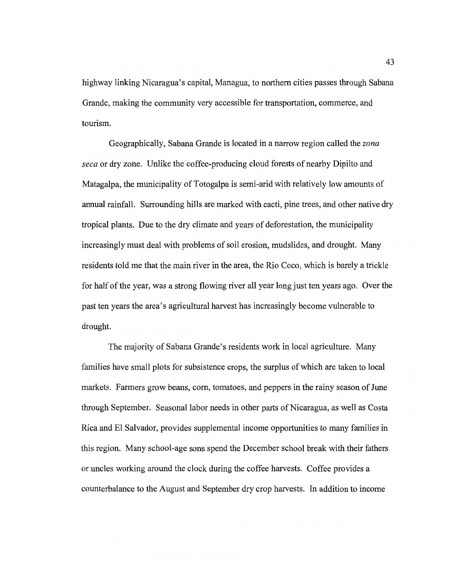highway linking Nicaragua's capital, Managua, to northern cities passes through Sabana Grande, making the community very accessible for transportation, commerce, and tourism.

Geographically, Sabana Grande is located in a narrow region called the *zona seca* or dry zone. Unlike the coffee-producing cloud forests of nearby Dipilto and Matagalpa, the municipality of Totogalpa is semi-arid with relatively low amounts of annual rainfall. Surrounding hills are marked with cacti, pine trees, and other native dry tropical plants. Due to the dry climate and years of deforestation, the municipality increasingly must deal with problems of soil erosion, mudslides, and drought. Many residents told me that the main river in the area, the Rio Coco, which is barely a trickle for half of the year, was a strong flowing river all year long just ten years ago. Over the past ten years the area's agricultural harvest has increasingly become vulnerable to drought.

The majority of Sabana Grande's residents work in local agriculture. Many families have small plots for subsistence crops, the surplus of which are taken to local markets. Farmers grow beans, corn, tomatoes, and peppers in the rainy season of June through September. Seasonal labor needs in other parts of Nicaragua, as well as Costa Rica and EI Salvador, provides supplemental income opportunities to many families in this region. Many school-age sons spend the December school break with their fathers or uncles working around the clock during the coffee harvests. Coffee provides a counterbalance to the August and September dry crop harvests. In addition to income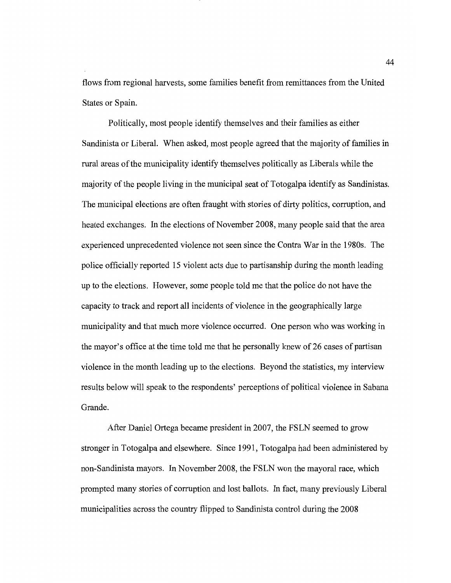flows from regional harvests, some families benefit from remittances from the United States or Spain.

Politically, most people identify themselves and their families as either Sandinista or Liberal. When asked, most people agreed that the majority of families in rural areas of the municipality identify themselves politically as Liberals while the majority of the people living in the municipal seat of Totogalpa identify as Sandinistas. The municipal elections are often fraught with stories of dirty politics, corruption, and heated exchanges. In the elections of November 2008, many people said that the area experienced unprecedented violence not seen since the Contra War in the 1980s. The police officially reported 15 violent acts due to partisanship during the month leading up to the elections. However, some people told me that the police do not have the capacity to track and report all incidents of violence in the geographically large municipality and that much more violence occurred. One person who was working in the mayor's office at the time told me that he personally knew of 26 cases of partisan violence in the month leading up to the elections. Beyond the statistics, my interview results below will speak to the respondents' perceptions of political violence in Sabana Grande.

After Daniel Ortega became president in 2007, the FSLN seemed to grow stronger in Totogalpa and elsewhere. Since 1991, Totogalpa had been administered by non-Sandinista mayors. **In** November 2008, the FSLN won the mayoral race, which prompted many stories of corruption and lost ballots. **In** fact, many previously Liberal municipalities across the country flipped to Sandinista control during the 2008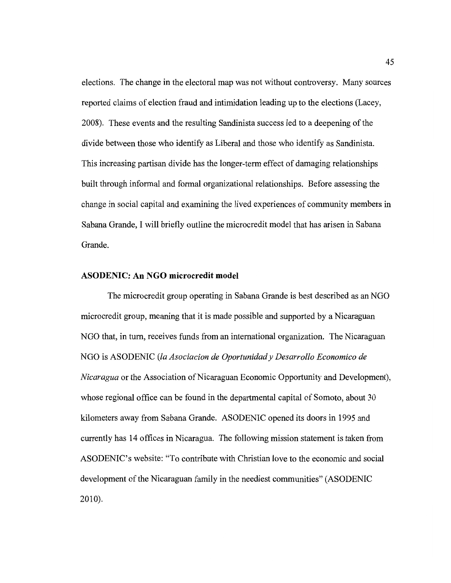elections. The change in the electoral map was not without controversy. Many sources reported claims of election fraud and intimidation leading up to the elections (Lacey, 2008). These events and the resulting Sandinista success led to a deepening of the divide between those who identify as Liberal and those who identify as Sandinista. This increasing partisan divide has the longer-term effect of damaging relationships built through informal and formal organizational relationships. Before assessing the change in social capital and examining the lived experiences of community members in Sabana Grande, I will briefly outline the microcredit model that has arisen in Sabana Grande.

#### **ASODENIC: An NGO microcredit model**

The microcredit group operating in Sabana Grande is best described as an NGO microcredit group, meaning that it is made possible and supported by a Nicaraguan NGO that, in tum, receives funds from an international organization. The Nicaraguan NGO is ASODENIC *(fa Asociacion de Oportunidad y Desarrollo Economico de Nicaragua* or the Association of Nicaraguan Economic Opportunity and Development), whose regional office can be found in the departmental capital of Somoto, about 30 kilometers away from Sabana Grande. ASODENIC opened its doors in 1995 and currently has 14 offices in Nicaragua. The following mission statement is taken from ASODENIC's website: "To contribute with Christian love to the economic and social development of the Nicaraguan family in the neediest communities" (ASODENIC 2010).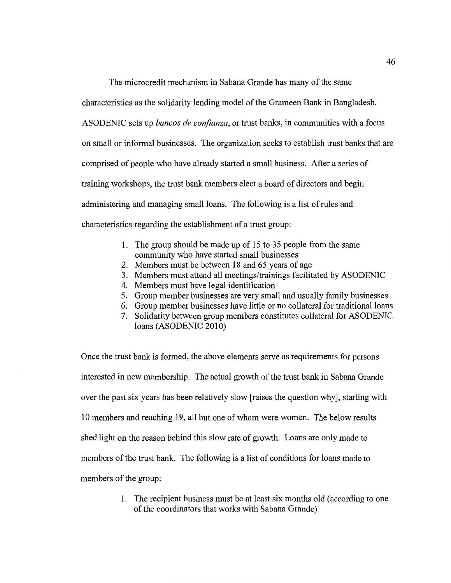The microcredit mechanism in Sabana Grande has many of the same characteristics as the solidarity lending model ofthe Grameen Bank in Bangladesh. ASODENIC sets up *bancos de conjianza,* or trust banks, in communities with a focus on small or informal businesses. The organization seeks to establish trust banks that are comprised of people who have already started a small business. After a series of training workshops, the trust bank members elect a board of directors and begin administering and managing small loans. The following is a list ofrules and characteristics regarding the establishment of a trust group:

- 1. The group should be made up of 15 to 35 people from the same community who have started small businesses
- 2. Members must be between 18 and 65 years of age
- 3. Members must attend all meetings/trainings facilitated by ASODENIC
- 4. Members must have legal identification
- 5. Group member businesses are very small and usually family businesses
- 6. Group member businesses have little or no collateral for traditional loans
- 7. Solidarity between group members constitutes collateral for ASODENIC loans (ASODENIC 2010)

Once the trust bank is formed, the above elements serve as requirements for persons interested in new membership. The actual growth of the trust bank in Sabana Grande over the past six years has been relatively slow [raises the question why], starting with 10 members and reaching 19, all but one of whom were women. The below results shed light on the reason behind this slow rate of growth. Loans are only made to members of the trust bank. The following is a list of conditions for loans made to members of the group:

> 1. The recipient business must be at least six months old (according to one of the coordinators that works with Sabana Grande)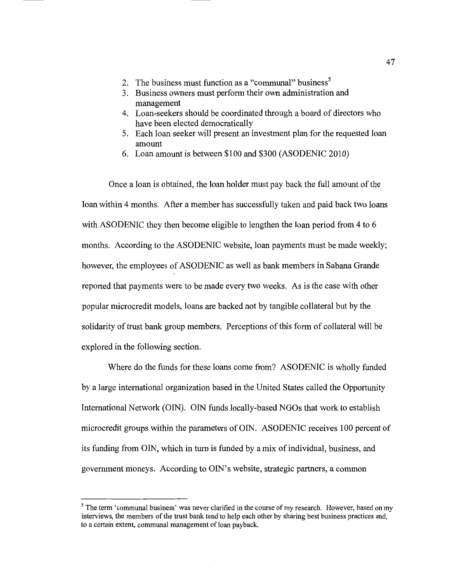- 2. The business must function as a "communal" business<sup>5</sup>
- 3. Business owners must perform their own administration and management
- 4. Loan-seekers should be coordinated through a board of directors who have been elected democratically
- 5. Each loan seeker will present an investment plan for the requested loan amount
- 6. Loan amount is between \$100 and \$300 (ASODENIC 2010)

Once a loan is obtained, the loan holder must pay back the full amount of the loan within 4 months. After a member has successfully taken and paid back two loans with ASODENIC they then become eligible to lengthen the loan period from 4 to 6 months. According to the ASODENIC website, loan payments must be made weekly; however, the employees of ASODENIC as well as bank members in Sabana Grande reported that payments were to be made every two weeks. As is the case with other popular microcredit models, loans are backed not by tangible collateral but by the solidarity of trust bank group members. Perceptions of this form of collateral will be explored in the following section.

Where do the funds for these loans come from? ASODENIC is wholly funded by a large international organization based in the United States called the Opportunity International Network (OIN). OIN funds locally-based NGOs that work to establish microcredit groups within the parameters of OIN. ASODENIC receives 100 percent of its funding from OIN, which in turn is funded by a mix of individual, business, and government moneys. According to OIN's website, strategic partners, a common

 $<sup>5</sup>$  The term 'communal business' was never clarified in the course of my research. However, based on my</sup> interviews, the members of the trust bank tend to help each other by sharing best business practices and, to a certain extent, communal management of loan payback.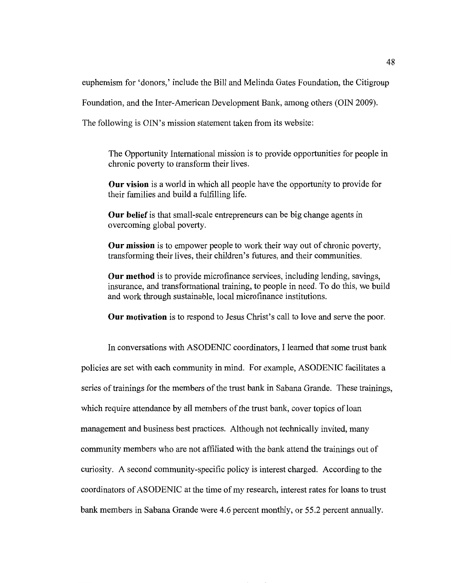euphemism for 'donors,' include the Bill and Melinda Gates Foundation, the Citigroup

Foundation, and the Inter-American Development Bank, among others (OIN 2009).

The following is OIN's mission statement taken from its website:

The Opportunity International mission is to provide opportunities for people in chronic poverty to transform their lives.

**Our vision** is a world in which all people have the opportunity to provide for their families and build a fulfilling life.

**Our belief** is that small-scale entrepreneurs can be big change agents in overcoming global poverty.

**Our mission** is to empower people to work their way out of chronic poverty, transforming their lives, their children's futures, and their communities.

**Our method** is to provide microfinance services, including lending, savings, insurance, and transformational training, to people in need. To do this, we build and work through sustainable, local microfinance institutions.

**Our motivation** is to respond to Jesus Christ's call to love and serve the poor.

In conversations with ASODENIC coordinators, I learned that some trust bank policies are set with each community in mind. For example, ASODENIC facilitates a series of trainings for the members of the trust bank in Sabana Grande. These trainings, which require attendance by all members of the trust bank, cover topics of loan management and business best practices. Although not technically invited, many community members who are not affiliated with the bank attend the trainings out of curiosity. A second community-specific policy is interest charged. According to the coordinators of ASODENIC at the time of my research, interest rates for loans to trust bank members in Sabana Grande were 4.6 percent monthly, or 55.2 percent annually.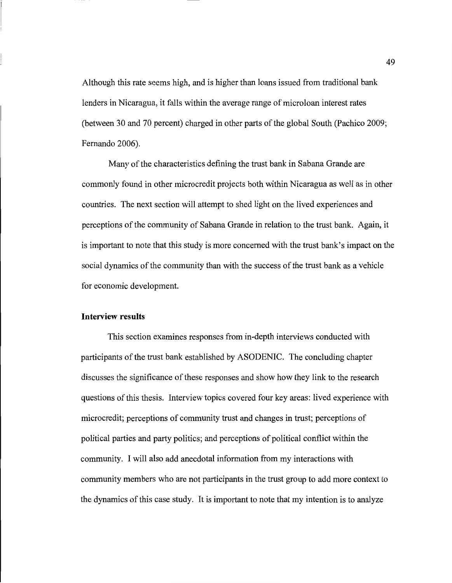Although this rate seems high, and is higher than loans issued from traditional bank lenders in Nicaragua, it falls within the average range of microloan interest rates (between 30 and 70 percent) charged in other parts of the global South (Pachico 2009; Fernando 2006).

Many of the characteristics defining the trust bank in Sabana Grande are commonly found in other microcredit projects both within Nicaragua as well as in other countries. The next section will attempt to shed light on the lived experiences and perceptions ofthe community of Sabana Grande in relation to the trust bank. Again, it is important to note that this study is more concerned with the trust bank's impact on the social dynamics of the community than with the success of the trust bank as a vehicle for economic development.

#### **Interview results**

This section examines responses from in-depth interviews conducted with participants of the trust bank established by ASODENIC. The concluding chapter discusses the significance ofthese responses and show how they link to the research questions ofthis thesis. Interview topics covered four key areas: lived experience with microcredit; perceptions of community trust and changes in trust; perceptions of political parties and party politics; and perceptions of political conflict within the community. I will also add anecdotal information from my interactions with community members who are not participants in the trust group to add more context to the dynamics ofthis case study. It is important to note that my intention is to analyze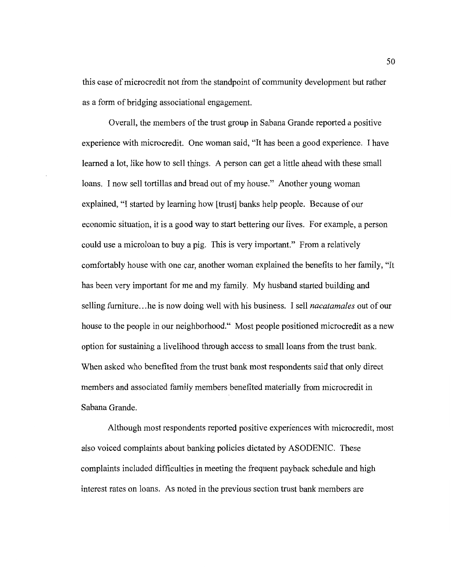this case ofmicrocredit not from the standpoint of community development but rather as a form of bridging associational engagement.

Overall, the members of the trust group in Sabana Grande reported a positive experience with microcredit. One woman said, "It has been a good experience. I have learned a lot, like how to sell things. A person can get a little ahead with these small loans. I now sell tortillas and bread out of my house." Another young woman explained, "I started by learning how [trust] banks help people. Because of our economic situation, it is a good way to start bettering our lives. For example, a person could use a microloan to buy a pig. This is very important." From a relatively comfortably house with one car, another woman explained the benefits to her family, "It has been very important for me and my family. My husband started building and selling furniture ...he is now doing well with his business. I sell *nacatamales* out of our house to the people in our neighborhood." Most people positioned microcredit as a new option for sustaining a livelihood through access to small loans from the trust bank. When asked who benefited from the trust bank most respondents said that only direct members and associated family members benefited materially from microcredit in Sabana Grande.

Although most respondents reported positive experiences with microcredit, most also voiced complaints about banking policies dictated by ASODENIC. These complaints included difficulties in meeting the frequent payback schedule and high interest rates on loans. As noted in the previous section trust bank members are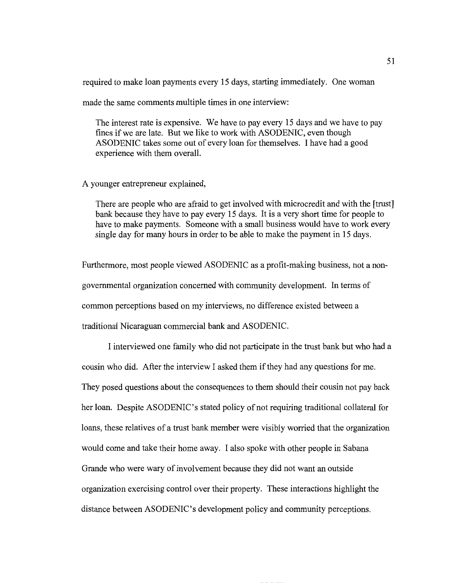required to make loan payments every 15 days, starting immediately. One woman

made the same comments multiple times in one interview:

The interest rate is expensive. We have to pay every 15 days and we have to pay fines if we are late. But we like to work with ASODENIC, even though ASODENIC takes some out of every loan for themselves. I have had a good experience with them overall.

#### A younger entrepreneur explained,

There are people who are afraid to get involved with microcredit and with the [trust] bank because they have to pay every 15 days. It is a very short time for people to have to make payments. Someone with a small business would have to work every single day for many hours in order to be able to make the payment in 15 days.

Furthermore, most people viewed ASODENIC as a profit-making business, not a nongovernmental organization concerned with community development. In terms of common perceptions based on my interviews, no difference existed between a traditional Nicaraguan commercial bank and ASODENIC.

I interviewed one family who did not participate in the trust bank but who had a cousin who did. After the interview I asked them if they had any questions for me. They posed questions about the consequences to them should their cousin not pay back her loan. Despite ASODENIC's stated policy of not requiring traditional collateral for loans, these relatives of a trust bank member were visibly worried that the organization would come and take their home away. I also spoke with other people in Sabana Grande who were wary of involvement because they did not want an outside organization exercising control over their property. These interactions highlight the distance between ASODENIC's development policy and community perceptions.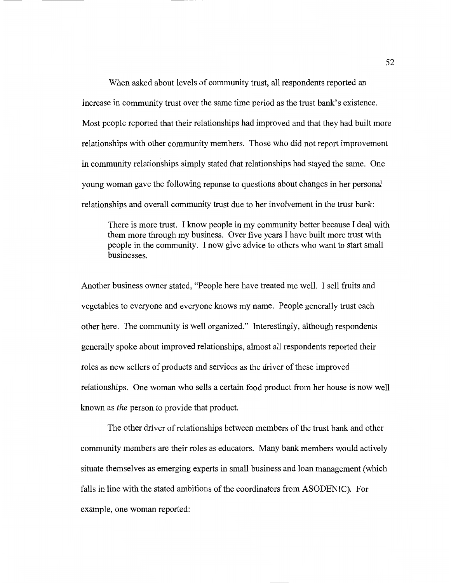When asked about levels of community trust, all respondents reported an increase in community trust over the same time period as the trust bank's existence. Most people reported that their relationships had improved and that they had built more relationships with other community members. Those who did not report improvement in community relationships simply stated that relationships had stayed the same. One young woman gave the following reponse to questions about changes in her personal relationships and overall community trust due to her involvement in the trust bank:

There is more trust. I know people in my community better because I deal with them more through my business. Over five years I have built more trust with people in the community. I now give advice to others who want to start small businesses.

Another business owner stated, "People here have treated me well. I sell fruits and vegetables to everyone and everyone knows my name. People generally trust each other here. The community is well organized." Interestingly, although respondents generally spoke about improved relationships, almost all respondents reported their roles as new sellers of products and services as the driver of these improved relationships. One woman who sells a certain food product from her house is now well known as *the* person to provide that product.

The other driver of relationships between members of the trust bank and other community members are their roles as educators. Many bank members would actively situate themselves as emerging experts in small business and loan management (which falls in line with the stated ambitions of the coordinators from ASODENIC). For example, one woman reported: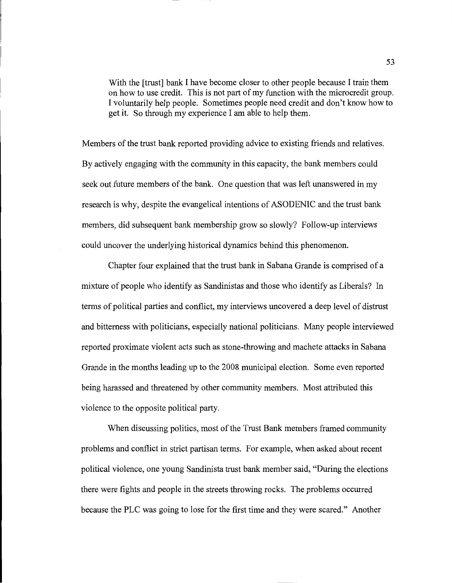With the [trust] bank I have become closer to other people because I train them on how to use credit. This is not part of my function with the microcredit group. I voluntarily help people. Sometimes people need credit and don't know how to get it. So through my experience I am able to help them.

Members of the trust bank reported providing advice to existing friends and relatives. By actively engaging with the community in this capacity, the bank members could seek out future members of the bank. One question that was left unanswered in my research is why, despite the evangelical intentions of ASODENIC and the trust bank members, did subsequent bank membership grow so slowly? Follow-up interviews could uncover the underlying historical dynamics behind this phenomenon.

Chapter four explained that the trust bank in Sabana Grande is comprised of a mixture of people who identify as Sandinistas and those who identify as Liberals? In terms of political parties and conflict, my interviews uncovered a deep level of distrust and bitterness with politicians, especially national politicians. Many people interviewed reported proximate violent acts such as stone-throwing and machete attacks in Sabana Grande in the months leading up to the 2008 municipal election. Some even reported being harassed and threatened by other community members. Most attributed this violence to the opposite political party.

When discussing politics, most of the Trust Bank members framed community problems and conflict in strict partisan terms. For example, when asked about recent political violence, one young Sandinista trust bank member said, "During the elections there were fights and people in the streets throwing rocks. The problems occurred because the PLC was going to lose for the first time and they were scared." Another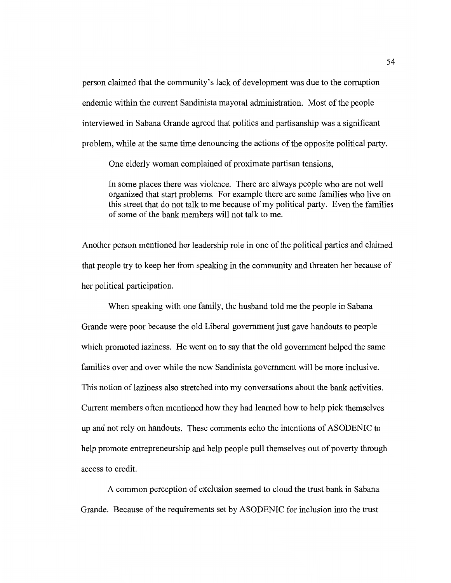person claimed that the community's lack of development was due to the corruption endemic within the current Sandinista mayoral administration. Most of the people interviewed in Sabana Grande agreed that politics and partisanship was a significant problem, while at the same time denouncing the actions of the opposite political party.

One elderly woman complained of proximate partisan tensions,

In some places there was violence. There are always people who are not well organized that start problems. For example there are some families who live on this street that do not talk to me because of my political party. Even the families of some ofthe bank members will not talk to me.

Another person mentioned her leadership role in one of the political parties and claimed that people try to keep her from speaking in the community and threaten her because of her political participation.

When speaking with one family, the husband told me the people in Sabana Grande were poor because the old Liberal government just gave handouts to people which promoted laziness. He went on to say that the old government helped the same families over and over while the new Sandinista government will be more inclusive. This notion of laziness also stretched into my conversations about the bank activities. Current members often mentioned how they had learned how to help pick themselves up and not rely on handouts. These comments echo the intentions of ASODENIC to help promote entrepreneurship and help people pull themselves out of poverty through access to credit.

A common perception of exclusion seemed to cloud the trust bank in Sabana Grande. Because of the requirements set by ASODENIC for inclusion into the trust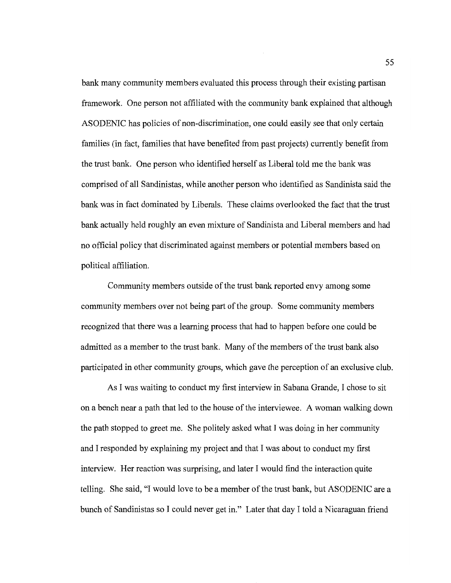bank many community members evaluated this process through their existing partisan framework. One person not affiliated with the community bank explained that although ASODENIC has policies of non-discrimination, one could easily see that only certain families (in fact, families that have benefited from past projects) currently benefit from the trust bank. One person who identified herself as Liberal told me the bank was comprised of all Sandinistas, while another person who identified as Sandinista said the bank was in fact dominated by Liberals. These claims overlooked the fact that the trust bank actually held roughly an even mixture of Sandinista and Liberal members and had no official policy that discriminated against members or potential members based on political affiliation.

Community members outside of the trust bank reported envy among some community members over not being part of the group. Some community members recognized that there was a learning process that had to happen before one could be admitted as a member to the trust bank. Many of the members of the trust bank also participated in other community groups, which gave the perception of an exclusive club.

As I was waiting to conduct my first interview in Sabana Grande, I chose to sit on a bench near a path that led to the house ofthe interviewee. A woman walking down the path stopped to greet me. She politely asked what I was doing in her community and I responded by explaining my project and that I was about to conduct my first interview. Her reaction was surprising, and later I would find the interaction quite telling. She said, "I would love to be a member of the trust bank, but ASODENIC are a bunch of Sandinistas so I could never get in." Later that day I told a Nicaraguan friend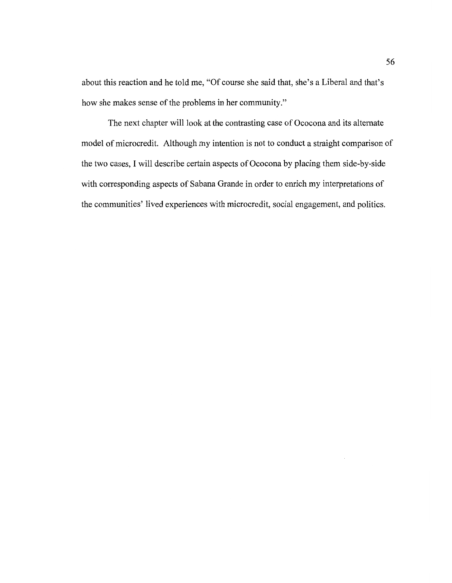about this reaction and he told me, "Of course she said that, she's a Liberal and that's how she makes sense of the problems in her community."

The next chapter will look at the contrasting case of Ococona and its alternate model of microcredit. Although my intention is not to conduct a straight comparison of the two cases, I will describe certain aspects of Ococona by placing them side-by-side with corresponding aspects of Sabana Grande in order to enrich my interpretations of the communities' lived experiences with microcredit, social engagement, and politics.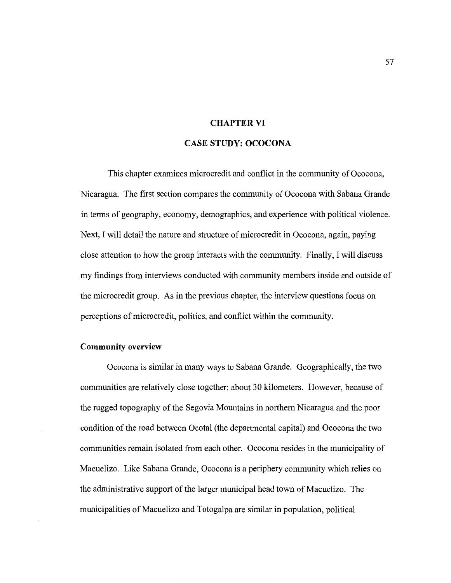## CHAPTER VI **CASE STUDY: OCOCONA**

This chapter examines microcredit and conflict in the community of Ococona, Nicaragua. The first section compares the community of Ococona with Sabana Grande in terms of geography, economy, demographics, and experience with political violence. Next, I will detail the nature and structure of microcredit in Ococona, again, paying close attention to how the group interacts with the community. Finally, I will discuss my findings from interviews conducted with community members inside and outside of the microcredit group. As in the previous chapter, the interview questions focus on perceptions of microcredit, politics, and conflict within the community.

#### **Community overview**

Ococona is similar in many ways to Sabana Grande. Geographically, the two communities are relatively close together: about 30 kilometers. However, because of the rugged topography of the Segovia Mountains in northern Nicaragua and the poor condition ofthe road between Ocotal (the departmental capital) and Ococona the two communities remain isolated from each other. Ococona resides in the municipality of Macuelizo. Like Sabana Grande, Ococona is a periphery community which relies on the administrative support of the larger municipal head town of Macuelizo. The municipalities of Macuelizo and Totogalpa are similar in population, political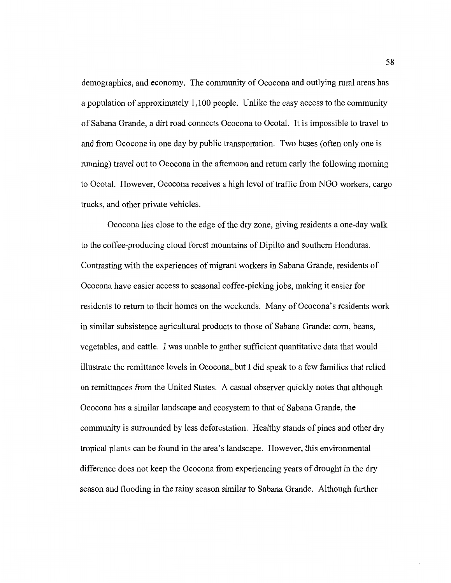demographics, and economy. The community of Ococona and outlying rural areas has a population of approximately 1,100 people. Unlike the easy access to the community of Sabana Grande, a dirt road connects Ococona to Ocotal. It is impossible to travel to and from Ococona in one day by public transportation. Two buses (often only one is running) travel out to Ococona in the afternoon and return early the following morning to Ocotal. However, Ococona receives a high level of traffic from NGO workers, cargo trucks, and other private vehicles.

Ococona lies close to the edge of the dry zone, giving residents a one-day walk to the coffee-producing cloud forest mountains of Dipilto and southern Honduras. Contrasting with the experiences of migrant workers in Sabana Grande, residents of Ococona have easier access to seasonal coffee-picking jobs, making it easier for residents to return to their homes on the weekends. Many of Ococona's residents work in similar subsistence agricultural products to those of Sabana Grande: com, beans, vegetables, and cattle. I was unable to gather sufficient quantitative data that would illustrate the remittance levels in Ococona, but I did speak to a few families that relied on remittances from the United States. A casual observer quickly notes that although Ococona has a similar landscape and ecosystem to that of Sabana Grande, the community is surrounded by less deforestation. Healthy stands of pines and other dry tropical plants can be found in the area's landscape. However, this environmental difference does not keep the Ococona from experiencing years of drought in the dry season and flooding in the rainy season similar to Sabana Grande. Although further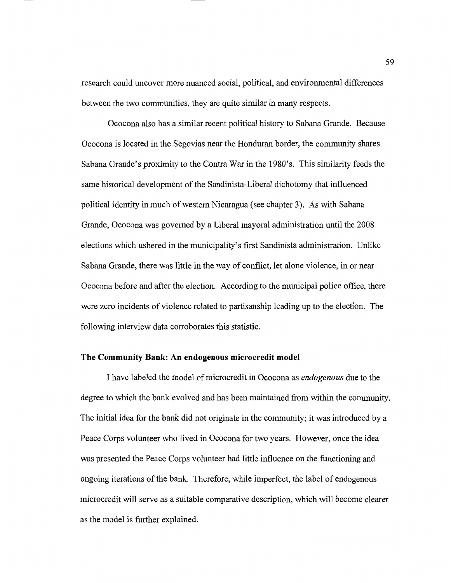research could uncover more nuanced social, political, and environmental differences between the two communities, they are quite similar in many respects.

Ococona also has a similar recent political history to Sabana Grande. Because Ococona is located in the Segovias near the Honduran border, the community shares Sabana Grande's proximity to the Contra War in the 1980's. This similarity feeds the same historical development of the Sandinista-Liberal dichotomy that influenced political identity in much of western Nicaragua (see chapter 3). As with Sabana Grande, Ococona was governed by a Liberal mayoral administration until the 2008 elections which ushered in the municipality's first Sandinista administration. Unlike Sabana Grande, there was little in the way of conflict, let alone violence, in or near Ococona before and after the election. According to the municipal police office, there were zero incidents of violence related to partisanship leading up to the election. The following interview data corroborates this statistic.

#### **The Community Bank: An endogenous microcredit model**

I have labeled the model of microcredit in Ococona as *endogenous* due to the degree to which the bank evolved and has been maintained from within the community. The initial idea for the bank did not originate in the community; it was introduced by a Peace Corps volunteer who lived in Ococona for two years. However, once the idea was presented the Peace Corps volunteer had little influence on the functioning and ongoing iterations of the bank. Therefore, while imperfect, the label of endogenous microcredit will serve as a suitable comparative description, which will become clearer as the model is further explained.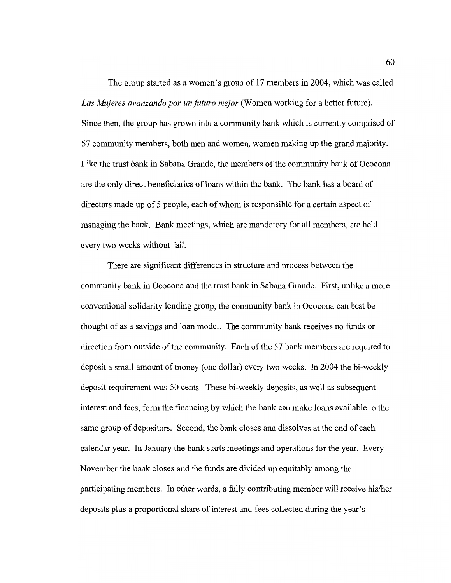The group started as a women's group of 17 members in 2004, which was called *Las Mujeres avanzando por unfuturo mejor* (Women working for a better future). Since then, the group has grown into a community bank which is currently comprised of 57 community members, both men and women, women making up the grand majority. Like the trust bank in Sabana Grande, the members of the community bank of Ococona are the only direct beneficiaries of loans within the bank. The bank has a board of directors made up of 5 people, each of whom is responsible for a certain aspect of managing the bank. Bank meetings, which are mandatory for all members, are held every two weeks without fail.

There are significant differences in structure and process between the community bank in Ococona and the trust bank in Sabana Grande. First, unlike a more conventional solidarity lending group, the community bank in Ococona can best be thought of as a savings and loan model. The community bank receives no funds or direction from outside of the community. Each of the 57 bank members are required to deposit a small amount of money (one dollar) every two weeks. In 2004 the bi-weekly deposit requirement was 50 cents. These bi-weekly deposits, as well as subsequent interest and fees, form the financing by which the bank can make loans available to the same group of depositors. Second, the bank closes and dissolves at the end of each calendar year. In January the bank starts meetings and operations for the year. Every November the bank closes and the funds are divided up equitably among the participating members. In other words, a fully contributing member will receive his/her deposits plus a proportional share of interest and fees collected during the year's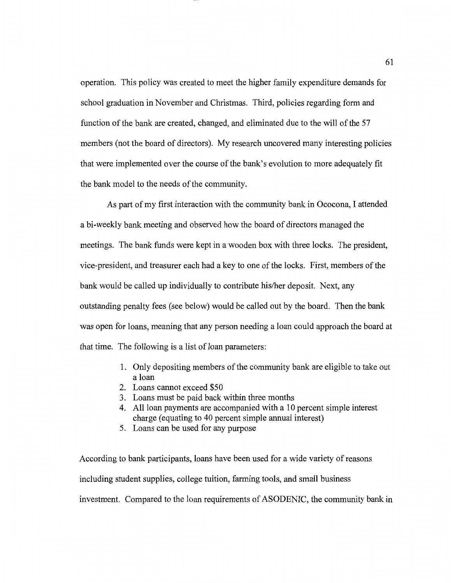operation. This policy was created to meet the higher family expenditure demands for school graduation in November and Christmas. Third, policies regarding form and function of the bank are created, changed, and eliminated due to the will of the 57 members (not the board of directors). My research uncovered many interesting policies that were implemented over the course of the bank's evolution to more adequately fit the bank model to the needs of the community.

As part of my first interaction with the community bank in Ococona, I attended a bi-weekly bank meeting and observed how the board of directors managed the meetings. The bank funds were kept in a wooden box with three locks. The president, vice-president, and treasurer each had a key to one of the locks. First, members of the bank would be called up individually to contribute his/her deposit. Next, any outstanding penalty fees (see below) would be called out by the board. Then the bank was open for loans, meaning that any person needing a loan could approach the board at that time. The following is a list of loan parameters:

- 1. Only depositing members of the community bank are eligible to take out a loan
- 2. Loans cannot exceed \$50
- 3. Loans must be paid back within three months
- 4. All loan payments are accompanied with a 10 percent simple interest charge (equating to 40 percent simple annual interest)
- 5. Loans can be used for any purpose

According to bank participants, loans have been used for a wide variety of reasons including student supplies, college tuition, farming tools, and small business investment. Compared to the loan requirements of ASODENIC, the community bank in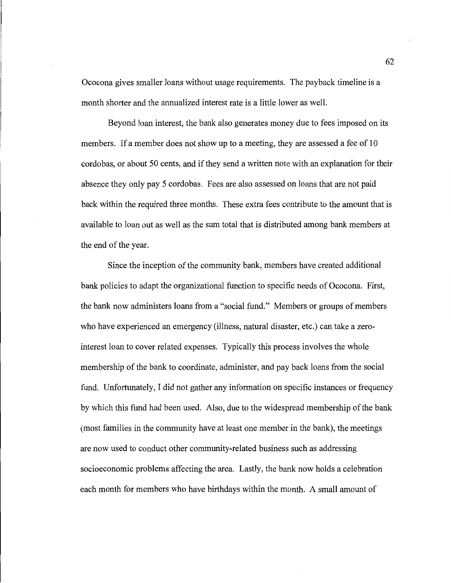Ococona gives smaller loans without usage requirements. The payback timeline is a month shorter and the annualized interest rate is a little lower as well.

Beyond loan interest, the bank also generates money due to fees imposed on its members. If a member does not show up to a meeting, they are assessed a fee of 10 cordobas, or about 50 cents, and if they send a written note with an explanation for their absence they only pay 5 cordobas. Fees are also assessed on loans that are not paid back within the required three months. These extra fees contribute to the amount that is available to loan out as well as the sum total that is distributed among bank members at the end of the year.

Since the inception of the community bank, members have created additional bank policies to adapt the organizational function to specific needs of Ococona. First, the bank now administers loans from a "social fund." Members or groups of members who have experienced an emergency (illness, natural disaster, etc.) can take a zerointerest loan to cover related expenses. Typically this process involves the whole membership of the bank to coordinate, administer, and pay back loans from the social fund. Unfortunately, I did not gather any information on specific instances or frequency by which this fund had been used. Also, due to the widespread membership ofthe bank (most families in the community have at least one member in the bank), the meetings are now used to conduct other community-related business such as addressing socioeconomic problems affecting the area. Lastly, the bank now holds a celebration each month for members who have birthdays within the month. A small amount of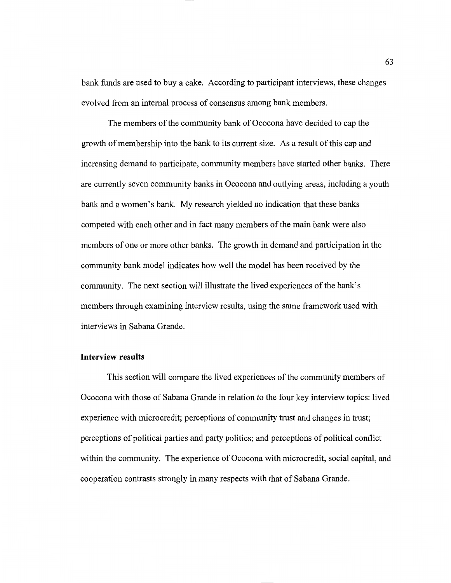bank funds are used to buy a cake. According to participant interviews, these changes evolved from an internal process of consensus among bank members.

The members of the community bank of Ococona have decided to cap the growth of membership into the bank to its current size. As a result of this cap and increasing demand to participate, community members have started other banks. There are currently seven community banks in Ococona and outlying areas, including a youth bank and a women's bank. My research yielded no indication that these banks competed with each other and in fact many members of the main bank were also members of one or more other banks. The growth in demand and participation in the community bank model indicates how well the model has been received by the community. The next section will illustrate the lived experiences of the bank's members through examining interview results, using the same framework used with interviews in Sabana Grande.

#### **Interview results**

This section will compare the lived experiences of the community members of Ococona with those of Sabana Grande in relation to the four key interview topics: lived experience with microcredit; perceptions of community trust and changes in trust; perceptions of political parties and party politics; and perceptions of political conflict within the community. The experience of Ococona with microcredit, social capital, and cooperation contrasts strongly in many respects with that of Sabana Grande.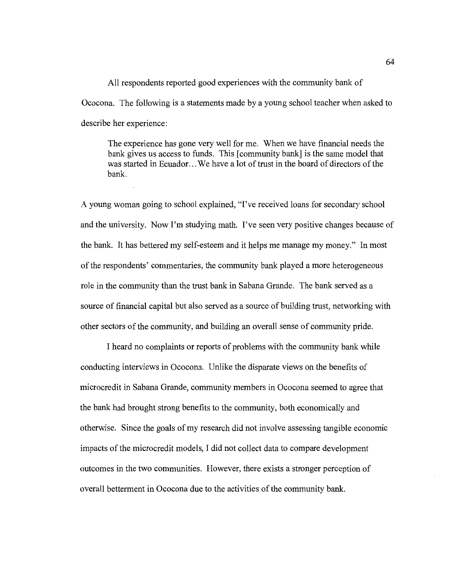All respondents reported good experiences with the community bank of Ococona. The following is a statements made by a young school teacher when asked to describe her experience:

The experience has gone very well for me. When we have financial needs the bank gives us access to funds. This [community bank] is the same model that was started in Ecuador...We have a lot of trust in the board of directors of the bank.

A young woman going to school explained, "I've received loans for secondary school and the university. Now I'm studying math. I've seen very positive changes because of the bank. It has bettered my self-esteem and it helps me manage my money." In most of the respondents' commentaries, the community bank played a more heterogeneous role in the community than the trust bank in Sabana Grande. The bank served as a source of financial capital but also served as a source of building trust, networking with other sectors ofthe community, and building an overall sense of community pride.

I heard no complaints or reports of problems with the community bank while conducting interviews in Ococona. Unlike the disparate views on the benefits of microcredit in Sabana Grande, community members in Ococona seemed to agree that the bank had brought strong benefits to the community, both economically and otherwise. Since the goals ofmy research did not involve assessing tangible economic impacts of the microcredit models, I did not collect data to compare development outcomes in the two communities. However, there exists a stronger perception of overall betterment in Ococona due to the activities of the community bank.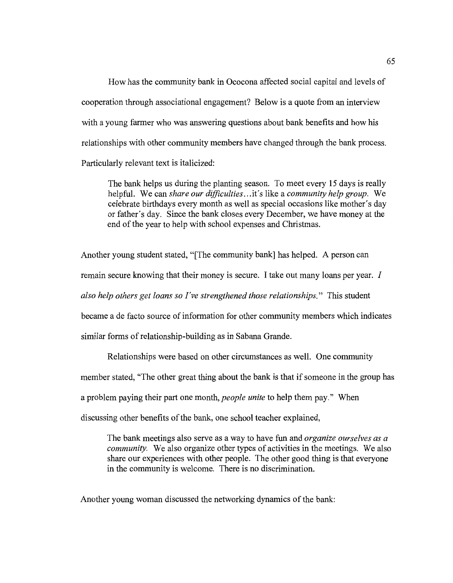How has the community bank in Ococona affected social capital and levels of cooperation through associational engagement? Below is a quote from an interview with a young farmer who was answering questions about bank benefits and how his relationships with other community members have changed through the bank process. Particularly relevant text is italicized:

The bank helps us during the planting season. To meet every 15 days is really helpful. We can *share our difficulties..* .it's like a *community help group.* We celebrate birthdays every month as well as special occasions like mother's day or father's day. Since the bank closes every December, we have money at the end of the year to help with school expenses and Christmas.

Another young student stated, "[The community bank] has helped. A person can remain secure knowing that their money is secure. I take out many loans per year. I *also help others get loans so I've strengthened those relationships."* This student became a de facto source of information for other community members which indicates similar forms of relationship-building as in Sabana Grande.

Relationships were based on other circumstances as well. One community member stated, "The other great thing about the bank is that if someone in the group has a problem paying their part one month, *people unite* to help them pay." When discussing other benefits of the bank, one school teacher explained,

The bank meetings also serve as a way to have fun and *organize ourselves as a community.* We also organize other types of activities in the meetings. We also share our experiences with other people. The other good thing is that everyone in the community is welcome. There is no discrimination.

Another young woman discussed the networking dynamics of the bank: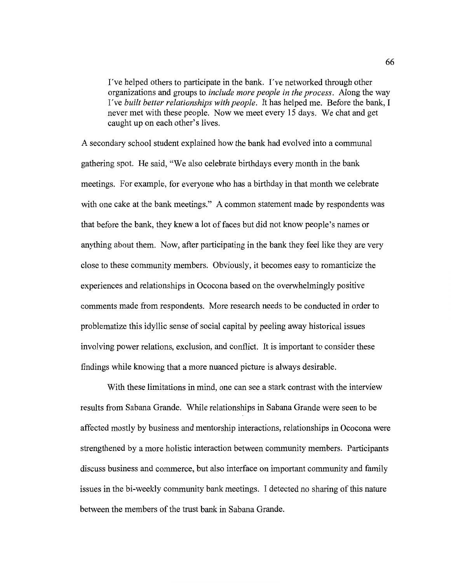I've helped others to participate in the bank. I've networked through other organizations and groups to *include more people in the process.* Along the way I've *built better relationships with people.* It has helped me. Before the bank, I never met with these people. Now we meet every 15 days. We chat and get caught up on each other's lives.

A secondary school student explained how the bank had evolved into a communal gathering spot. He said, "We also celebrate birthdays every month in the bank meetings. For example, for everyone who has a birthday in that month we celebrate with one cake at the bank meetings." A common statement made by respondents was that before the bank, they knew a lot offaces but did not know people's names or anything about them. Now, after participating in the bank they feel like they are very close to these community members. Obviously, it becomes easy to romanticize the experiences and relationships in Ococona based on the overwhelmingly positive comments made from respondents. More research needs to be conducted in order to problematize this idyllic sense of social capital by peeling away historical issues involving power relations, exclusion, and conflict. It is important to consider these findings while knowing that a more nuanced picture is always desirable.

With these limitations in mind, one can see a stark contrast with the interview results from Sabana Grande. While relationships in Sabana Grande were seen to be affected mostly by business and mentorship interactions, relationships in Ococona were strengthened by a more holistic interaction between community members. Participants discuss business and commerce, but also interface on important community and family issues in the bi-weekly community bank meetings. I detected no sharing of this nature between the members of the trust bank in Sabana Grande.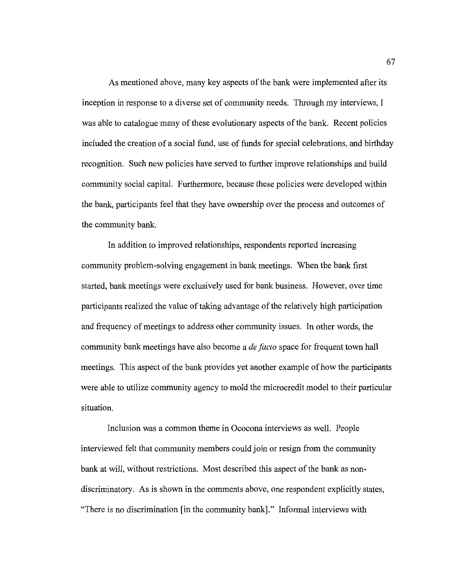As mentioned above, many key aspects of the bank were implemented after its inception in response to a diverse set of community needs. Through my interviews, I was able to catalogue many of these evolutionary aspects of the bank. Recent policies included the creation of a social fund, use of funds for special celebrations, and birthday recognition. Such new policies have served to further improve relationships and build community social capital. Furthermore, because these policies were developed within the bank, participants feel that they have ownership over the process and outcomes of the community bank.

In addition to improved relationships, respondents reported increasing community problem-solving engagement in bank meetings. When the bank first started, bank meetings were exclusively used for bank business. However, over time participants realized the value of taking advantage of the relatively high participation and frequency of meetings to address other community issues. In other words, the community bank meetings have also become a *de facto* space for frequent town hall meetings. This aspect of the bank provides yet another example of how the participants were able to utilize community agency to mold the microcredit model to their particular situation.

Inclusion was a common theme in Ococona interviews as well. People interviewed felt that community members could join or resign from the community bank at will, without restrictions. Most described this aspect of the bank as nondiscriminatory. As is shown in the comments above, one respondent explicitly states, "There is no discrimination [in the community bank]." Informal interviews with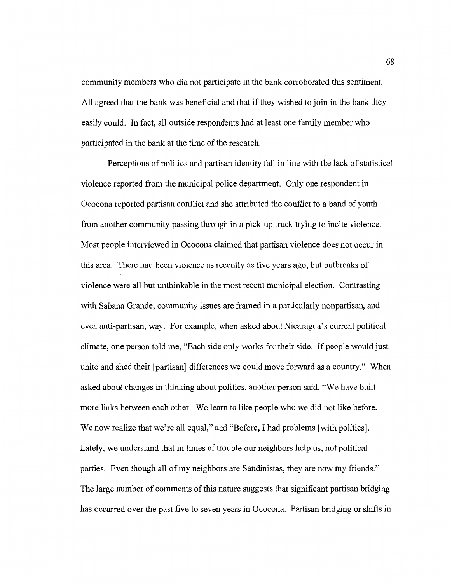community members who did not participate in the bank corroborated this sentiment. All agreed that the bank was beneficial and that if they wished to join in the bank they easily could. In fact, all outside respondents had at least one family member who participated in the bank at the time of the research.

Perceptions of politics and partisan identity fall in line with the lack of statistical violence reported from the municipal police department. Only one respondent in Ococona reported partisan conflict and she attributed the conflict to a band of youth from another community passing through in a pick-up truck trying to incite violence. Most people interviewed in Ococona claimed that partisan violence does not occur in this area. There had been violence as recently as five years ago, but outbreaks of violence were all but unthinkable in the most recent municipal election. Contrasting with Sabana Grande, community issues are framed in a particularly nonpartisan, and even anti-partisan, way. For example, when asked about Nicaragua's current political climate, one person told me, "Each side only works for their side. If people would just unite and shed their [partisan] differences we could move forward as a country." When asked about changes in thinking about politics, another person said, "We have built more links between each other. We learn to like people who we did not like before. We now realize that we're all equal," and "Before, I had problems [with politics]. Lately, we understand that in times of trouble our neighbors help us, not political parties. Even though all of my neighbors are Sandinistas, they are now my friends." The large number of comments of this nature suggests that significant partisan bridging has occurred over the past five to seven years in Ococona. Partisan bridging or shifts in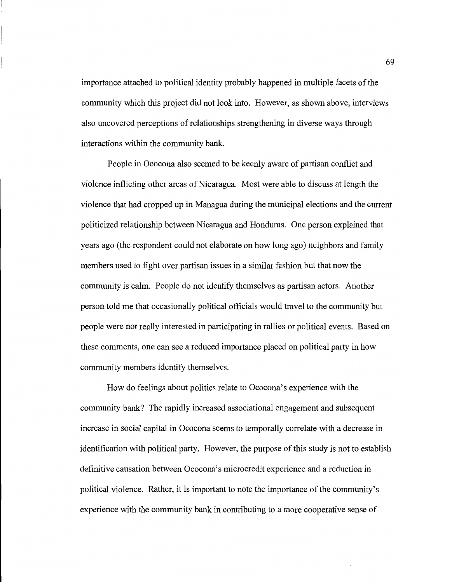importance attached to political identity probably happened in multiple facets of the community which this project did not look into. However, as shown above, interviews also uncovered perceptions of relationships strengthening in diverse ways through interactions within the community bank.

People in Ococona also seemed to be keenly aware of partisan conflict and violence inflicting other areas of Nicaragua. Most were able to discuss at length the violence that had cropped up in Managua during the municipal elections and the current politicized relationship between Nicaragua and Honduras. One person explained that years ago (the respondent could not elaborate on how long ago) neighbors and family members used to fight over partisan issues in a similar fashion but that now the community is calm. People do not identify themselves as partisan actors. Another person told me that occasionally political officials would travel to the community but people were not really interested in participating in rallies or political events. Based on these comments, one can see a reduced importance placed on political party in how community members identify themselves.

How do feelings about politics relate to Ococona's experience with the community bank? The rapidly increased associational engagement and subsequent increase in social capital in Ococona seems to temporally correlate with a decrease in identification with political party. However, the purpose ofthis study is not to establish definitive causation between Ococona's microcredit experience and a reduction in political violence. Rather, it is important to note the importance of the community's experience with the community bank in contributing to a more cooperative sense of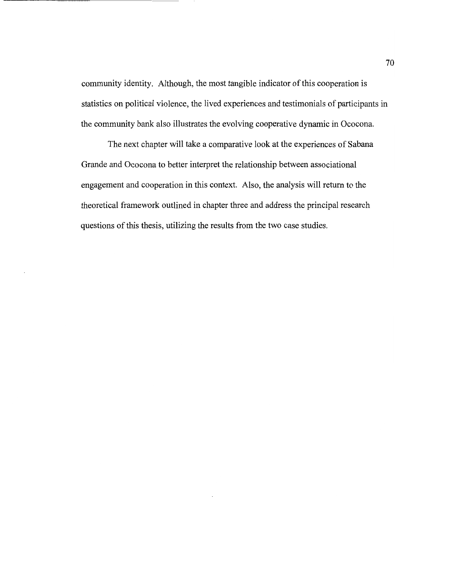community identity. Although, the most tangible indicator of this cooperation is statistics on political violence, the lived experiences and testimonials of participants in the community bank also illustrates the evolving cooperative dynamic in Ococona,

The next chapter will take a comparative look at the experiences of Sabana Grande and Ococona to better interpret the relationship between associational engagement and cooperation in this context. Also, the analysis will return to the theoretical framework outlined in chapter three and address the principal research questions of this thesis, utilizing the results from the two case studies.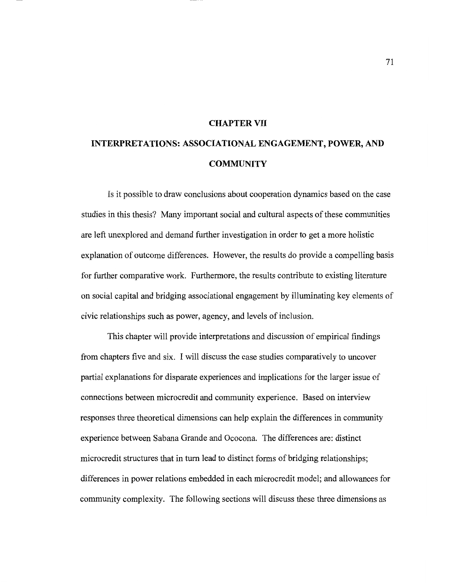#### CHAPTER VII

# **INTERPRETATIONS: ASSOCIATIONAL ENGAGEMENT, POWER, AND COMMUNITY**

Is it possible to draw conclusions about cooperation dynamics based on the case studies in this thesis? Many important social and cultural aspects of these communities are left unexplored and demand further investigation in order to get a more holistic explanation of outcome differences. However, the results do provide a compelling basis for further comparative work. Furthermore, the results contribute to existing literature on social capital and bridging associational engagement by illuminating key elements of civic relationships such as power, agency, and levels of inclusion.

This chapter will provide interpretations and discussion of empirical findings from chapters five and six. I will discuss the case studies comparatively to uncover partial explanations for disparate experiences and implications for the larger issue of connections between microcredit and community experience. Based on interview responses three theoretical dimensions can help explain the differences in community experience between Sabana Grande and Ococona. The differences are: distinct microcredit structures that in tum lead to distinct forms of bridging relationships; differences in power relations embedded in each microcredit model; and allowances for community complexity. The following sections will discuss these three dimensions as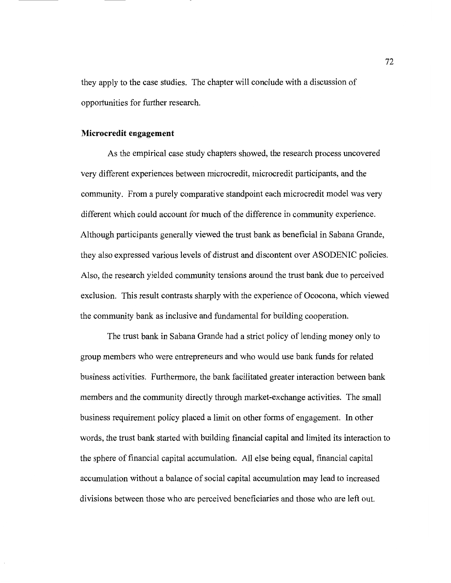they apply to the case studies. The chapter will conclude with a discussion of opportunities for further research.

### **Microcredit engagement**

As the empirical case study chapters showed, the research process uncovered very different experiences between microcredit, microcredit participants, and the community. From a purely comparative standpoint each microcredit model was very different which could account for much of the difference in community experience. Although participants generally viewed the trust bank as beneficial in Sabana Grande, they also expressed various levels of distrust and discontent over ASODENIC policies. Also, the research yielded community tensions around the trust bank due to perceived exclusion. This result contrasts sharply with the experience of Ococona, which viewed the community bank as inclusive and fundamental for building cooperation.

The trust bank in Sabana Grande had a strict policy of lending money only to group members who were entrepreneurs and who would use bank funds for related business activities. Furthermore, the bank facilitated greater interaction between bank members and the community directly through market-exchange activities. The small business requirement policy placed a limit on other forms of engagement. **In** other words, the trust bank started with building financial capital and limited its interaction to the sphere of financial capital accumulation. All else being equal, financial capital accumulation without a balance of social capital accumulation may lead to increased divisions between those who are perceived beneficiaries and those who are left out.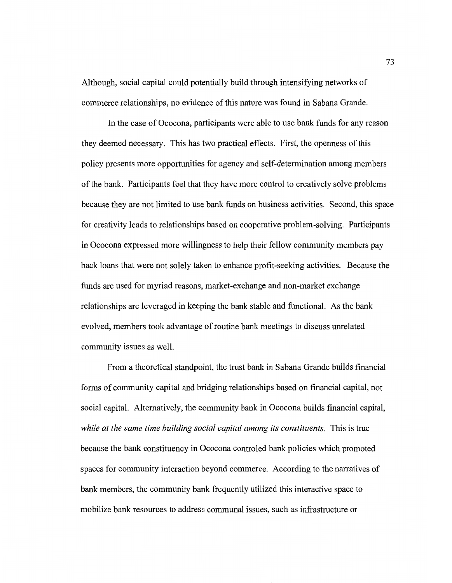Although, social capital could potentially build through intensifying networks of commerce relationships, no evidence ofthis nature was found in Sabana Grande.

In the case of Ococona, participants were able to use bank funds for any reason they deemed necessary. This has two practical effects. First, the openness ofthis policy presents more opportunities for agency and self-detennination among members of the bank. Participants feel that they have more control to creatively solve problems because they are not limited to use bank funds on business activities. Second, this space for creativity leads to relationships based on cooperative problem-solving. Participants in Ococona expressed more willingness to help their fellow community members pay back loans that were not solely taken to enhance profit-seeking activities. Because the funds are used for myriad reasons, market-exchange and non-market exchange relationships are leveraged in keeping the bank stable and functional. As the bank evolved, members took advantage ofroutine bank meetings to discuss unrelated community issues as well.

From a theoretical standpoint, the trust bank in Sabana Grande builds financial fonns of community capital and bridging relationships based on financial capital, not social capital. Alternatively, the community bank in Ococona builds financial capital, *while at the same time building social capital among its constituents.* This is true because the bank constituency in Ococona controled bank policies which promoted spaces for community interaction beyond commerce. According to the narratives of bank members, the community bank frequently utilized this interactive space to mobilize bank resources to address communal issues, such as infrastructure or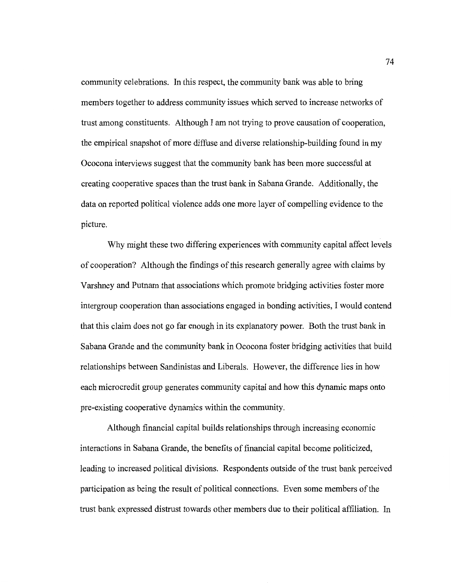community celebrations. **In** this respect, the community bank was able to bring members together to address community issues which served to increase networks of trust among constituents. Although I am not trying to prove causation of cooperation, the empirical snapshot of more diffuse and diverse relationship-building found in my Ococona interviews suggest that the community bank has been more successful at creating cooperative spaces than the trust bank in Sabana Grande. Additionally, the data on reported political violence adds one more layer of compelling evidence to the picture.

Why might these two differing experiences with community capital affect levels of cooperation? Although the findings of this research generally agree with claims by Varshney and Putnam that associations which promote bridging activities foster more intergroup cooperation than associations engaged in bonding activities, I would contend that this claim does not go far enough in its explanatory power. Both the trust bank in Sabana Grande and the community bank in Ococona foster bridging activities that build relationships between Sandinistas and Liberals. However, the difference lies in how each microcredit group generates community capital and how this dynamic maps onto pre-existing cooperative dynamics within the community.

Although financial capital builds relationships through increasing economic interactions in Sabana Grande, the benefits of financial capital become politicized, leading to increased political divisions. Respondents outside of the trust bank perceived participation as being the result of political connections. Even some members of the trust bank expressed distrust towards other members due to their political affiliation. **In**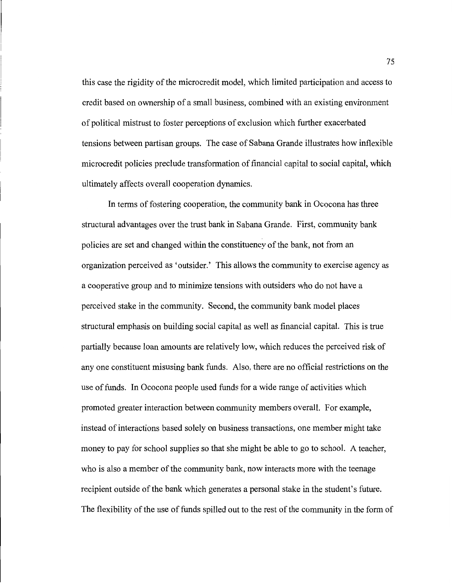this case the rigidity of the microcredit model, which limited participation and access to credit based on ownership of a small business, combined with an existing environment of political mistrust to foster perceptions of exclusion which further exacerbated tensions between partisan groups. The case of Sabana Grande illustrates how inflexible microcredit policies preclude transformation of financial capital to social capital, which ultimately affects overall cooperation dynamics.

In terms of fostering cooperation, the community bank in Ococona has three structural advantages over the trust bank in Sabana Grande. First, community bank policies are set and changed within the constituency of the bank, not from an organization perceived as 'outsider.' This allows the community to exercise agency as a cooperative group and to minimize tensions with outsiders who do not have a perceived stake in the community. Second, the community bank model places structural emphasis on building social capital as well as financial capital. This is true partially because loan amounts are relatively low, which reduces the perceived risk of anyone constituent misusing bank funds. Also, there are no official restrictions on the use of funds. In Ococona people used funds for a wide range of activities which promoted greater interaction between community members overall. For example, instead ofinteractions based solely on business transactions, one member might take money to pay for school supplies so that she might be able to go to school. A teacher, who is also a member of the community bank, now interacts more with the teenage recipient outside of the bank which generates a personal stake in the student's future. The flexibility of the use of funds spilled out to the rest of the community in the form of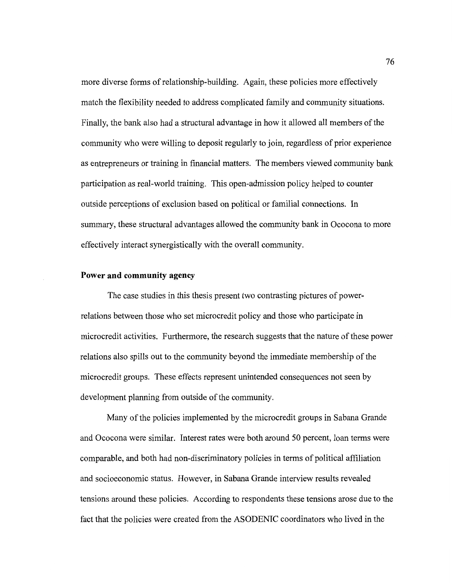more diverse forms of relationship-building. Again, these policies more effectively match the flexibility needed to address complicated family and community situations. Finally, the bank also had a structural advantage in how it allowed all members of the community who were willing to deposit regularly to join, regardless of prior experience as entrepreneurs or training in financial matters. The members viewed community bank participation as real-world training. This open-admission policy helped to counter outside perceptions of exclusion based on political or familial connections. In summary, these structural advantages allowed the community bank in Ococona to more effectively interact synergistically with the overall community.

#### **Power and community agency**

The case studies in this thesis present two contrasting pictures of powerrelations between those who set microcredit policy and those who participate in microcredit activities. Furthermore, the research suggests that the nature of these power relations also spills out to the community beyond the immediate membership of the microcredit groups. These effects represent unintended consequences not seen by development planning from outside of the community.

Many of the policies implemented by the microcredit groups in Sabana Grande and Ococona were similar. Interest rates were both around 50 percent, loan terms were comparable, and both had non-discriminatory policies in terms of political affiliation and socioeconomic status. However, in Sabana Grande interview results revealed tensions around these policies. According to respondents these tensions arose due to the fact that the policies were created from the ASODENIC coordinators who lived in the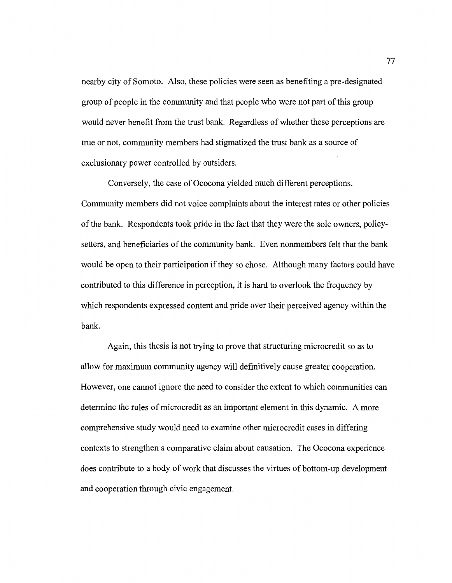nearby city of Somoto. Also, these policies were seen as benefiting a pre-designated group of people in the community and that people who were not part ofthis group would never benefit from the trust bank. Regardless of whether these perceptions are true or not, community members had stigmatized the trust bank as a source of exclusionary power controlled by outsiders.

Conversely, the case of Ococona yielded much different perceptions. Community members did not voice complaints about the interest rates or other policies of the bank. Respondents took pride in the fact that they were the sole owners, policysetters, and beneficiaries of the community bank. Even nonmembers felt that the bank would be open to their participation if they so chose. Although many factors could have contributed to this difference in perception, it is hard to overlook the frequency by which respondents expressed content and pride over their perceived agency within the bank.

Again, this thesis is not trying to prove that structuring microcredit so as to allow for maximum community agency will definitively cause greater cooperation. However, one cannot ignore the need to consider the extent to which communities can determine the rules of microcredit as an important element in this dynamic. A more comprehensive study would need to examine other microcredit cases in differing contexts to strengthen a comparative claim about causation. The Ococona experience does contribute to a body of work that discusses the virtues of bottom-up development and cooperation through civic engagement.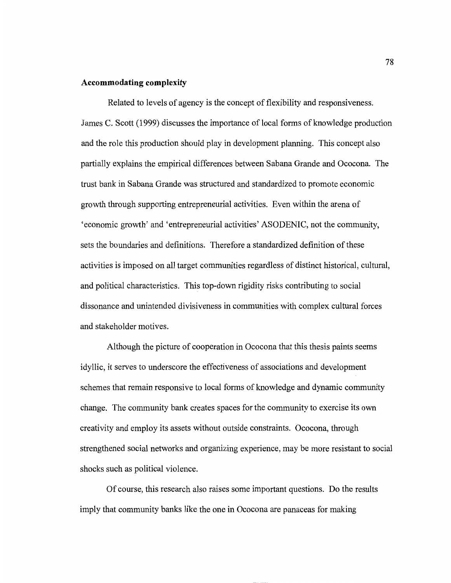#### **Accommodating complexity**

Related to levels of agency is the concept of flexibility and responsiveness. James C. Scott (1999) discusses the importance of local forms of knowledge production and the role this production should play in development planning. This concept also partially explains the empirical differences between Sabana Grande and Ococona. The trust bank in Sabana Grande was structured and standardized to promote economic growth through supporting entrepreneurial activities. Even within the arena of 'economic growth' and 'entrepreneurial activities' ASODENIC, not the community, sets the boundaries and definitions. Therefore a standardized definition of these activities is imposed on all target communities regardless of distinct historical, cultural, and political characteristics. This top-down rigidity risks contributing to social dissonance and unintended divisiveness in communities with complex cultural forces and stakeholder motives.

Although the picture of cooperation in Ococona that this thesis paints seems idyllic, it serves to underscore the effectiveness of associations and development schemes that remain responsive to local forms of knowledge and dynamic community change. The community bank creates spaces for the community to exercise its own creativity and employ its assets without outside constraints. Ococona, through strengthened social networks and organizing experience, may be more resistant to social shocks such as political violence.

Of course, this research also raises some important questions. Do the results imply that community banks like the one in Ococona are panaceas for making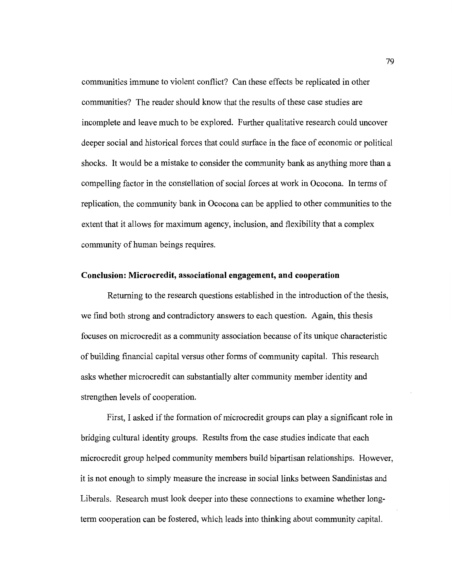communities immune to violent conflict? Can these effects be replicated in other communities? The reader should know that the results ofthese case studies are incomplete and leave much to be explored. Further qualitative research could uncover deeper social and historical forces that could surface in the face of economic or political shocks. It would be a mistake to consider the community bank as anything more than a compelling factor in the constellation of social forces at work in Ococona. In terms of replication, the community bank in Ococona can be applied to other communities to the extent that it allows for maximum agency, inclusion, and flexibility that a complex community of human beings requires.

#### **Conclusion: Microcredit, associational engagement, and cooperation**

Returning to the research questions established in the introduction of the thesis, we find both strong and contradictory answers to each question. Again, this thesis focuses on microcredit as a community association because ofits unique characteristic of building financial capital versus other forms of community capital. This research asks whether microcredit can substantially alter community member identity and strengthen levels of cooperation.

First, I asked if the formation of microcredit groups can play a significant role in bridging cultural identity groups. Results from the case studies indicate that each microcredit group helped community members build bipartisan relationships. However, it is not enough to simply measure the increase in social links between Sandinistas and Liberals. Research must look deeper into these connections to examine whether longterm cooperation can be fostered, which leads into thinking about community capital.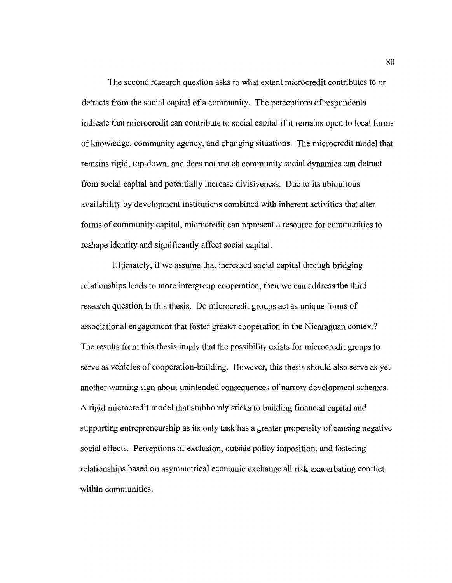The second research question asks to what extent microcredit contributes to or detracts from the social capital of a community. The perceptions of respondents indicate that microcredit can contribute to social capital if it remains open to local forms of knowledge, community agency, and changing situations. The microcredit model that remains rigid, top-down, and does not match community social dynamics can detract from social capital and potentially increase divisiveness. Due to its ubiquitous availability by development institutions combined with inherent activities that alter forms of community capital, microcredit can represent a resource for communities to reshape identity and significantly affect social capital.

Ultimately, if we assume that increased social capital through bridging relationships leads to more intergroup cooperation, then we can address the third research question in this thesis. Do microcredit groups act as unique forms of associational engagement that foster greater cooperation in the Nicaraguan context? The results from this thesis imply that the possibility exists for microcredit groups to serve as vehicles of cooperation-building. However, this thesis should also serve as yet another warning sign about unintended consequences of narrow development schemes. A rigid microcredit model that stubbornly sticks to building financial capital and supporting entrepreneurship as its only task has a greater propensity of causing negative social effects. Perceptions of exclusion, outside policy imposition, and fostering relationships based on asymmetrical economic exchange all risk exacerbating conflict within communities.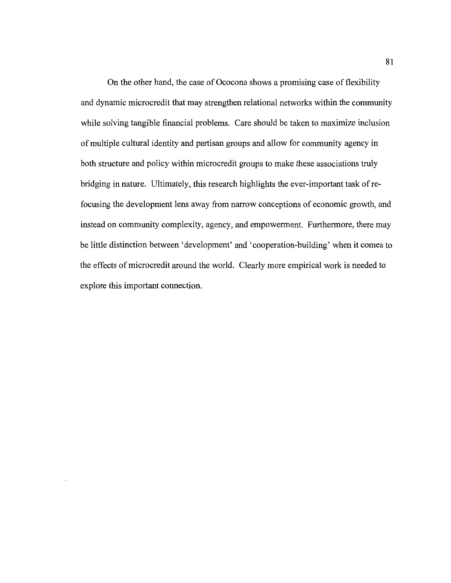On the other hand, the case of Ococona shows a promising case of flexibility and dynamic microcredit that may strengthen relational networks within the community while solving tangible financial problems. Care should be taken to maximize inclusion of multiple cultural identity and partisan groups and allow for community agency in both structure and policy within microcredit groups to make these associations truly bridging in nature. Ultimately, this research highlights the ever-important task of refocusing the development lens away from narrow conceptions of economic growth, and instead on community complexity, agency, and empowerment. Furthermore, there may be little distinction between 'development' and 'cooperation-building' when it comes to the effects of microcredit around the world. Clearly more empirical work is needed to explore this important connection.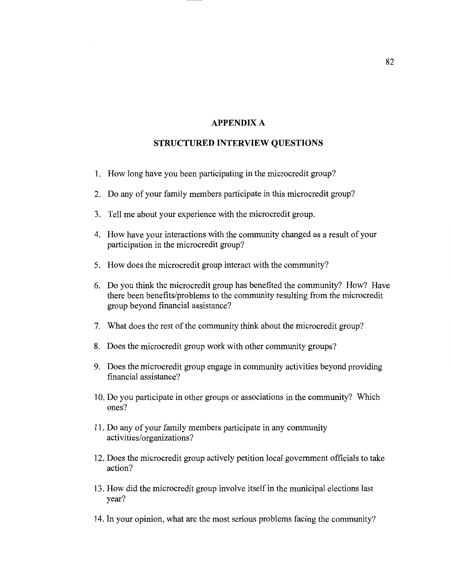# APPENDIX A

## **STRUCTURED INTERVIEW QUESTIONS**

- 1. How long have you been participating in the microcredit group?
- 2. Do any of your family members participate in this microcredit group?
- 3. Tell me about your experience with the microcredit group.
- 4. How have your interactions with the community changed as a result of your participation in the microcredit group?
- 5. How does the microcredit group interact with the community?
- 6. Do you think the microcredit group has benefited the community? How? Have there been benefits/problems to the community resulting from the microcredit group beyond financial assistance?
- 7. What does the rest of the community think about the microcredit group?
- 8. Does the microcredit group work with other community groups?
- 9. Does the microcredit group engage in community activities beyond providing financial assistance?
- 10. Do you participate in other groups or associations in the community? Which ones?
- 11. Do any of your family members participate in any community activities/organizations?
- 12. Does the microcredit group actively petition local government officials to take action?
- 13. How did the microcredit group involve itselfin the municipal elections last year?
- 14. In your opinion, what are the most serious problems facing the community?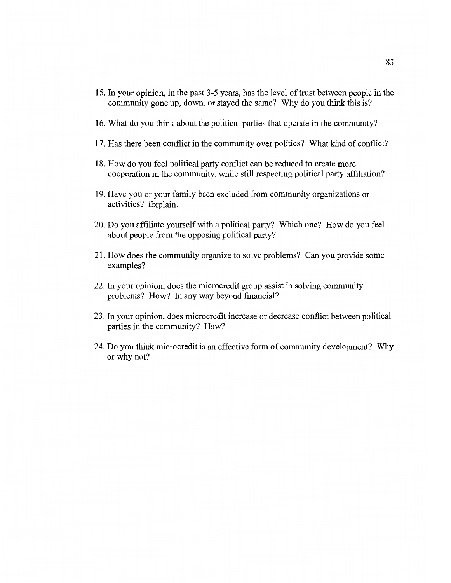- 15. In your opinion, in the past 3-5 years, has the level of trust between people in the community gone up, down, or stayed the same? Why do you think this is?
- 16. What do you think about the political parties that operate in the community?
- 17. Has there been conflict in the community over politics? What kind of conflict?
- 18. How do you feel political party conflict can be reduced to create more cooperation in the community, while still respecting political party affiliation?
- 19. Have you or your family been excluded from community organizations or activities? Explain.
- 20. Do you affiliate yourself with a political party? Which one? How do you feel about people from the opposing political party?
- 21. How does the community organize to solve problems? Can you provide some examples?
- 22. In your opinion, does the microcredit group assist in solving community problems? How? In any way beyond financial?
- 23. In your opinion, does microcredit increase or decrease conflict between political parties in the community? How?
- 24. Do you think microcredit is an effective form of community development? Why or why not?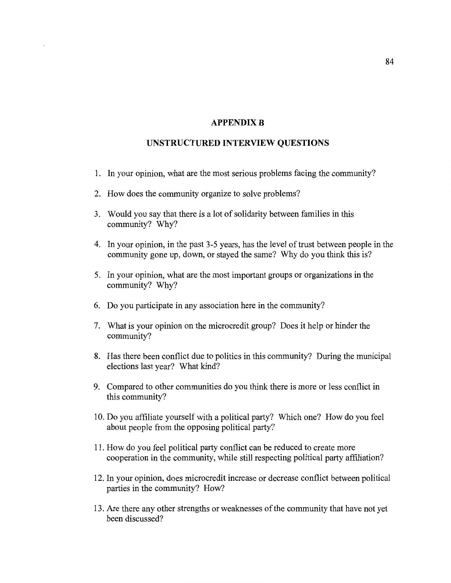### **APPENDIX B**

### **UNSTRUCTURED INTERVIEW QUESTIONS**

- 1. In your opinion, what are the most serious problems facing the community?
- 2. How does the community organize to solve problems?
- 3. Would you say that there is a lot of solidarity between families in this community? Why?
- 4. In your opinion, in the past 3-5 years, has the level of trust between people in the community gone up, down, or stayed the same? Why do you think this is?
- 5. In your opinion, what are the most important groups or organizations in the community? Why?
- 6. Do you participate in any association here in the community?
- 7. What is your opinion on the microcredit group? Does it help or hinder the community?
- 8. Has there been conflict due to politics in this community? During the municipal elections last year? What kind?
- 9. Compared to other communities do you think there is more or less conflict in this community?
- 10. Do you affiliate yourself with a political party? Which one? How do you feel about people from the opposing political party?
- 11. How do you feel political party conflict can be reduced to create more cooperation in the community, while still respecting political party affiliation?
- 12. In your opinion, does microcredit increase or decrease conflict between political parties in the community? How?
- 13. Are there any other strengths or weaknesses of the community that have not yet been discussed?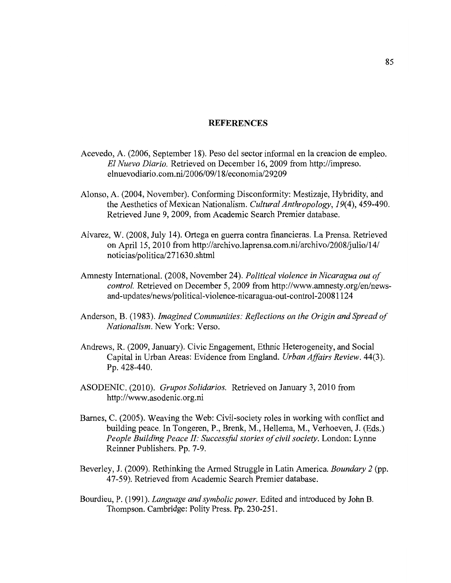#### **REFERENCES**

- Acevedo, A. (2006, September 18). Peso del sector informal en la creacion de empleo. *El Nuevo Diario.* Retrieved on December 16,2009 from http://impreso. elnuevodiario.com.ni/2006/09/18/economia/29209
- Alonso, A. (2004, November). Conforming Disconformity: Mestizaje, Hybridity, and the Aesthetics of Mexican Nationalism. *Cultural Anthropology,* 19(4), 459-490. Retrieved June 9, 2009, from Academic Search Premier database.
- Alvarez, W. (2008, July 14). Ortega en guerra contra financieras. La Prensa. Retrieved on April 15, 2010 from http://archivo.laprensa.com.ni/archivo/2008/julio/14/ noticias/politica/271630.shtml
- Amnesty International. (2008, November 24). *Political violence in Nicaragua out of control.* Retrieved on December 5, 2009 from http://www.amnesty.org/en/newsand-updates/news/political-violence-nicaragua-out-control-20081124
- Anderson, B. (1983). *Imagined Communities: Reflections on the Origin and Spread of Nationalism.* New York: Verso.
- Andrews, R. (2009, January). Civic Engagement, Ethnic Heterogeneity, and Social Capital in Urban Areas: Evidence from England. *Urban Affairs Review. 44(3).* Pp. 428-440.
- ASODENIC. (2010). *Grupos Solidarios.* Retrieved on January 3, 2010 from http://www.asodenic.org.ni
- Barnes, C. (2005). Weaving the Web: Civil-society roles in working with conflict and building peace. In Tongeren, P., Brenk, M., Hellema, M., Verhoeven, J. (Eds.) *People Building Peace II: Successful stories ofcivil society.* London: Lynne Reinner Publishers. Pp. 7-9.
- Beverley, J. (2009). Rethinking the Armed Struggle in Latin America. *Boundary* 2 (pp. 47-59). Retrieved from Academic Search Premier database.
- Bourdieu, P. (1991). *Language and symbolic power.* Edited and introduced by John B. Thompson. Cambridge: Polity Press. Pp. 230-251.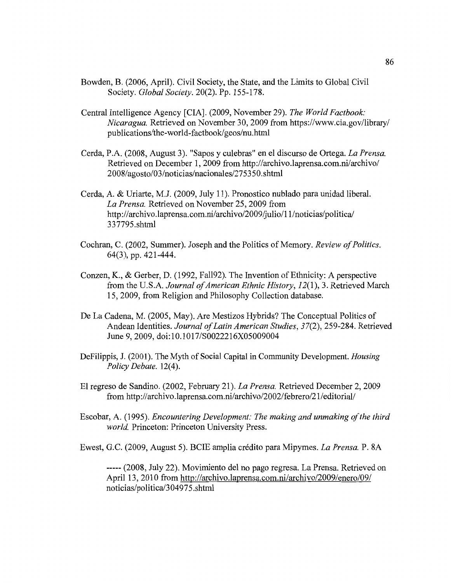- Bowden, B. (2006, April). Civil Society, the State, and the Limits to Global Civil Society. *Global Society.* 20(2). Pp. 155-178.
- Central Intelligence Agency [CIA]. (2009, November 29). *The World Factbook: Nicaragua.* Retrieved on November 30, 2009 from https://www.cia.gov/library/ pUblications/the-world-factbook/geos/nu.html
- Cerda, P.A. (2008, August 3). "Sapos y culebras" en el discurso de Ortega. *La Prensa.* Retrieved on December 1,2009 from hrtp://archivo.laprensa.com.ni/archivo/ 2008/agosto/03/noticias/nacionales/275350.shtml
- Cerda, A. & Uriarte, M.J. (2009, July 11). Pronostico nublado para unidad liberal. *La Prensa.* Retrieved on November 25, 2009 from http://archivo.laprensa.com.ni/archivo/2009/julio/11/noticias/politica/ 337795.shtml
- Cochran, C. (2002, Summer). Joseph and the Politics of Memory. *Review of Politics*. 64(3), pp. 421-444.
- Conzen, K., & Gerber, D. (1992, Fa1l92). The Invention of Ethnicity: A perspective from the U.S.A. *Journal of American Ethnic History*, 12(1), 3. Retrieved March 15,2009, from Religion and Philosophy Collection database.
- De La Cadena, M. (2005, May). Are Mestizos Hybrids? The Conceptual Politics of Andean Identities. *Journal ofLatin American Studies,* 37(2), 259-284. Retrieved June 9, 2009, doi:l0.l017/S0022216X05009004
- DeFilippis, 1. (2001). The Myth of Social Capital in Community Development. *Housing Policy Debate. 12(4).*
- El regreso de Sandino. (2002, February 21). *La Prensa.* Retrieved December 2, 2009 from http://archivo.laprensa.com.ni/archivo/2002/febrero/21/editorial/
- Escobar, A. (1995). *Encountering Development: The making and unmaking ofthe third world.* Princeton: Princeton University Press.

Ewest, G.C. (2009, August 5). BCIE amplia credito para Mipymes. *La Prensa.* P. 8A

**-----** (2008, July 22). Movimiento del no pago regresa. La Prensa. Retrieved on April 13,2010 from http://archivo.laprensa.com.ni/archivo/2009/enero/09/ noticias/politica/304975.shtml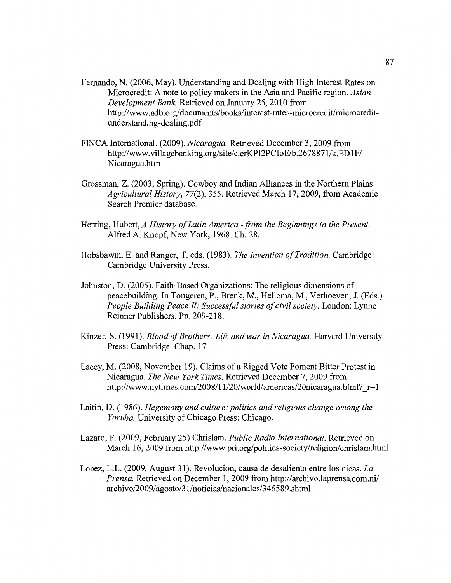- Fernando, N. (2006, May). Understanding and Dealing with High Interest Rates on Microcredit: A note to policy makers in the Asia and Pacific region. *Asian Development Bank.* Retrieved on January 25, 2010 from http://www.adb.org/documents/books/interest-rates-microcredit/microcreditunderstanding-dealing.pdf
- FINCA International. (2009). *Nicaragua.* Retrieved December 3, 2009 from http://www.villagebanking.org/site/c.erKPI2PCIOE/b.2678871/k.ED1F/ Nicaragua.htm
- Grossman, Z. (2003, Spring). Cowboy and Indian Alliances in the Northern Plains. *Agricultural History,* 77(2),355. Retrieved March 17,2009, from Academic Search Premier database.
- Herring, Hubert, *A History ofLatin America* -*from the Beginnings to the Present.* Alfred A. Knopf, New York, 1968. Ch. 28.
- Hobsbawm, E. and Ranger, T. eds. (1983). *The Invention ofTradition.* Cambridge: Cambridge University Press.
- Johnston, D. (2005). Faith-Based Organizations: The religious dimensions of peacebuilding. In Tongeren, P., Brenk, M., Hellema, M., Verhoeven, J. (Eds.) *People Building Peace II: Successful stories ofcivil society.* London: Lynne Reinner Publishers. Pp. 209-218.
- Kinzer, S. (1991). *Blood of Brothers: Life and war in Nicaragua.* Harvard University Press: Cambridge. Chap. 17
- Lacey, M. (2008, November 19). Claims ofa Rigged Vote Foment Bitter Protest in Nicaragua. *The New York Times.* Retrieved December 7,2009 from http://www.nytimes.com/2008/11/20/world/americas/20nicaragua.html?  $r=1$
- Laitin, D. (1986). *Hegemony and culture: politics and religious change among the Yoruba*. University of Chicago Press: Chicago.
- Lazaro, F. (2009, February 25) Chrislam. *Public Radio International.* Retrieved on March 16,2009 from http://www.pri.org/politics-society/religion/chrislam.html
- Lopez, L.L. (2009, August 31). Revolucion, causa de desaliento entre los nicas. *La Prensa.* Retrieved on December 1,2009 from http://archivo.laprensa.com.ni/ archivo/2009/agosto/31/noticias/nacionales/346589.shtml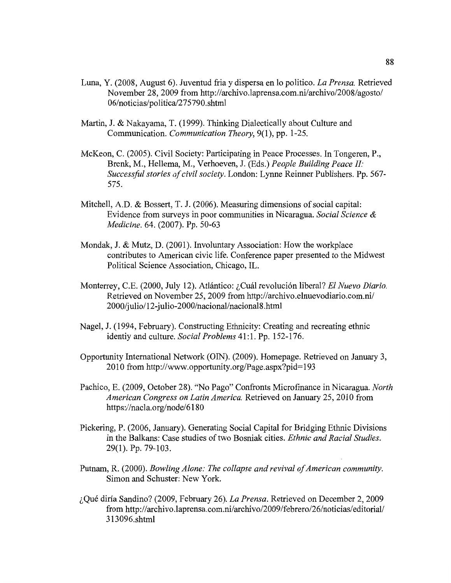- Luna, Y. (2008, August 6). Juventud fria y dispersa en 10 politico. *La Prensa.* Retrieved November 28,2009 from http://archivo.laprensa.com.ni/archivo/2008/agosto/ 06/noticias/politica/275790.shtml
- Martin, J. & Nakayama, T. (1999). Thinking Dialectically about Culture and Communication. *Communication Theory,* 9(1), pp. 1-25.
- McKeon, C. (2005). Civil Society: Participating in Peace Processes. In Tongeren, P., Brenk, M., Hellema, M., Verhoeven, J. (Eds.) *People Building Peace II: Successful stories of civil society.* London: Lynne Reinner Publishers. Pp. 567-575.
- Mitchell, A.D. & Bossert, T. J. (2006). Measuring dimensions of social capital: Evidence from surveys in poor communities in Nicaragua. *Social Science* & *Medicine.* 64. (2007). Pp. 50-63
- Mondak, J. & Mutz, D. (2001). Involuntary Association: How the workplace contributes to American civic life. Conference paper presented to the Midwest Political Science Association, Chicago, IL.
- Monterrey, C.E. (2000, July 12). Atlántico: ¿Cuál revolución liberal? *El Nuevo Diario.* Retrieved on November 25,2009 from http://archivo.elnuevodiario.com.ni/ 2000/julio/l2-julio-2000/nacional/naciona18.html
- Nagel, J. (1994, February). Constructing Ethnicity: Creating and recreating ethnic identiy and culture. *Social Problems* 41: 1. Pp. 152-176.
- Opportunity International Network (OIN). (2009). Homepage. Retrieved on January 3, 2010 from http://www.opportunity.org/Page.aspx?pid=193
- Pachico, E. (2009, October 28). "No Pago" Confronts Microfinance in Nicaragua. *North American Congress on Latin America.* Retrieved on January 25, 2010 from https://nac1a.org/node/6180
- Pickering, P. (2006, January). Generating Social Capital for Bridging Ethnic Divisions in the Balkans: Case studies of two Bosniak cities. *Ethnic and Racial Studies*. 29(1). Pp. 79-103.
- Putnam, R. (2000). *Bowling Alone: The collapse and revival ofAmerican community.* Simon and Schuster: New York.
- *lQue* diria Sandino? (2009, February 26). *La Prensa.* Retrieved on December 2,2009 from http://archivo.laprensa.com.ni/archivo/2009/febrero/26/noticias/editoria1/ 313096.shtml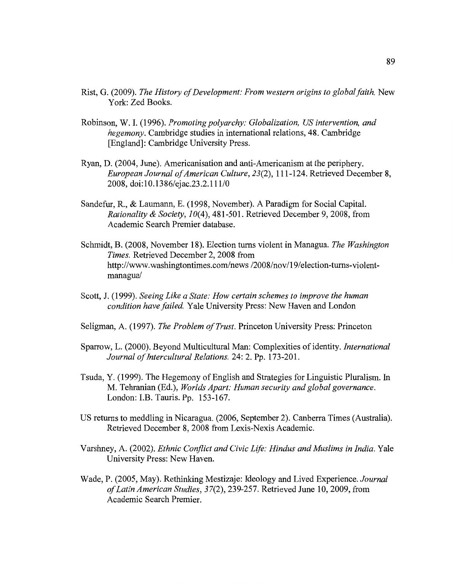- Rist, G. (2009). *The History ofDevelopment: From western origins to global faith.* New York: Zed Books.
- Robinson, W. 1. (1996). *Promoting polyarchy: Globalization, US intervention, and hegemony.* Cambridge studies in international relations, 48. Cambridge [England]: Cambridge University Press.
- Ryan, D. (2004, June). Americanisation and anti-Americanism at the periphery. *European Journal ofAmerican Culture,* 23(2), 111-124. Retrieved December 8, 2008, doi:10.1386/ejac.23.2.111/0
- Sandefur, R., & Laumann, E. (1998, November). A Paradigm for Social Capital. *Rationality* & *Society, 1*0(4),481-501. Retrieved December 9, 2008, from Academic Search Premier database.
- Schmidt, B. (2008, November 18). Election turns violent in Managua. *The Washington Times.* Retrieved December 2, 2008 from http://www.washingtontimes.com/news /2008/nov/19/election-turns-violentmanagua/
- Scott, 1. (1999). *Seeing Like a State: How certain schemes to improve the human condition have failed.* Yale University Press: New Haven and London
- Seligman, A. (1997). *The Problem ofTrust.* Princeton University Press: Princeton
- Sparrow, L. (2000). Beyond Multicultural Man: Complexities of identity. *International Journal ofIntercultural Relations.* 24: 2. Pp. 173-201.
- Tsuda, Y. (1999). The Hegemony of English and Strategies for Linguistic Pluralism. In M. Tehranian (Ed.), *Worlds Apart: Human security and global governance.* London: LB. Tauris. Pp. 153-167.
- US returns to meddling in Nicaragua. (2006, September 2). Canberra Times (Australia). Retrieved December 8, 2008 from Lexis-Nexis Academic.
- Varshney, A. (2002). *Ethnic Conflict and Civic Life: Hindus and Muslims in India.* Yale University Press: New Haven.
- Wade, P. (2005, May). Rethinking Mestizaje: Ideology and Lived Experience. *Journal ofLatin American Studies,* 37(2), 239-257. Retrieved June 10, 2009, from Academic Search Premier.